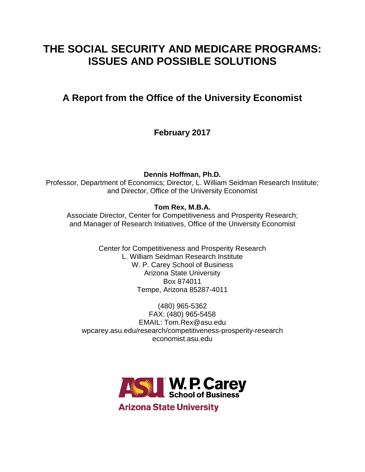# **THE SOCIAL SECURITY AND MEDICARE PROGRAMS: ISSUES AND POSSIBLE SOLUTIONS**

# **A Report from the Office of the University Economist**

**February 2017**

**Dennis Hoffman, Ph.D.**

Professor, Department of Economics; Director, L. William Seidman Research Institute; and Director, Office of the University Economist

# **Tom Rex, M.B.A.**

Associate Director, Center for Competitiveness and Prosperity Research; and Manager of Research Initiatives, Office of the University Economist

> Center for Competitiveness and Prosperity Research L. William Seidman Research Institute W. P. Carey School of Business Arizona State University Box 874011 Tempe, Arizona 85287-4011

(480) 965-5362 FAX: (480) 965-5458 EMAIL: Tom.Rex@asu.edu wpcarey.asu.edu/research/competitiveness-prosperity-research economist.asu.edu



**Arizona State University**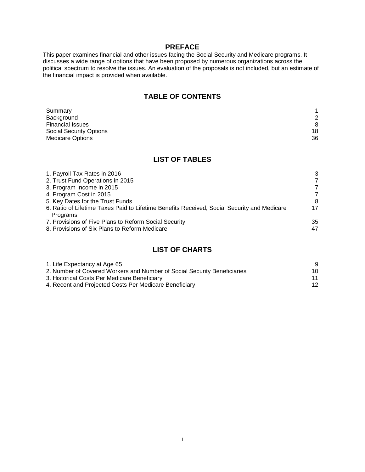#### **PREFACE**

This paper examines financial and other issues facing the Social Security and Medicare programs. It discusses a wide range of options that have been proposed by numerous organizations across the political spectrum to resolve the issues. An evaluation of the proposals is not included, but an estimate of the financial impact is provided when available.

# **TABLE OF CONTENTS**

| Summary                        |    |
|--------------------------------|----|
| Background                     | 2  |
| <b>Financial Issues</b>        | 8  |
| <b>Social Security Options</b> | 18 |
| <b>Medicare Options</b>        | 36 |

## **LIST OF TABLES**

| 1. Payroll Tax Rates in 2016                                                                | 3  |
|---------------------------------------------------------------------------------------------|----|
| 2. Trust Fund Operations in 2015                                                            | 7  |
| 3. Program Income in 2015                                                                   | 7  |
| 4. Program Cost in 2015                                                                     | 7  |
| 5. Key Dates for the Trust Funds                                                            | 8  |
| 6. Ratio of Lifetime Taxes Paid to Lifetime Benefits Received, Social Security and Medicare | 17 |
| Programs                                                                                    |    |
| 7. Provisions of Five Plans to Reform Social Security                                       | 35 |
| 8. Provisions of Six Plans to Reform Medicare                                               | 47 |
|                                                                                             |    |

## **LIST OF CHARTS**

| 1. Life Expectancy at Age 65                                             |    |
|--------------------------------------------------------------------------|----|
| 2. Number of Covered Workers and Number of Social Security Beneficiaries | 10 |
| 3. Historical Costs Per Medicare Beneficiary                             |    |
| 4. Recent and Projected Costs Per Medicare Beneficiary                   | 12 |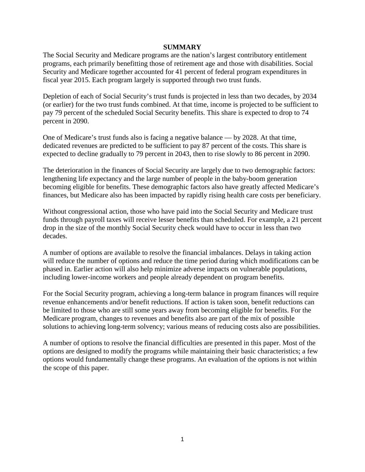#### **SUMMARY**

The Social Security and Medicare programs are the nation's largest contributory entitlement programs, each primarily benefitting those of retirement age and those with disabilities. Social Security and Medicare together accounted for 41 percent of federal program expenditures in fiscal year 2015. Each program largely is supported through two trust funds.

Depletion of each of Social Security's trust funds is projected in less than two decades, by 2034 (or earlier) for the two trust funds combined. At that time, income is projected to be sufficient to pay 79 percent of the scheduled Social Security benefits. This share is expected to drop to 74 percent in 2090.

One of Medicare's trust funds also is facing a negative balance — by 2028. At that time, dedicated revenues are predicted to be sufficient to pay 87 percent of the costs. This share is expected to decline gradually to 79 percent in 2043, then to rise slowly to 86 percent in 2090.

The deterioration in the finances of Social Security are largely due to two demographic factors: lengthening life expectancy and the large number of people in the baby-boom generation becoming eligible for benefits. These demographic factors also have greatly affected Medicare's finances, but Medicare also has been impacted by rapidly rising health care costs per beneficiary.

Without congressional action, those who have paid into the Social Security and Medicare trust funds through payroll taxes will receive lesser benefits than scheduled. For example, a 21 percent drop in the size of the monthly Social Security check would have to occur in less than two decades.

A number of options are available to resolve the financial imbalances. Delays in taking action will reduce the number of options and reduce the time period during which modifications can be phased in. Earlier action will also help minimize adverse impacts on vulnerable populations, including lower-income workers and people already dependent on program benefits.

For the Social Security program, achieving a long-term balance in program finances will require revenue enhancements and/or benefit reductions. If action is taken soon, benefit reductions can be limited to those who are still some years away from becoming eligible for benefits. For the Medicare program, changes to revenues and benefits also are part of the mix of possible solutions to achieving long-term solvency; various means of reducing costs also are possibilities.

A number of options to resolve the financial difficulties are presented in this paper. Most of the options are designed to modify the programs while maintaining their basic characteristics; a few options would fundamentally change these programs. An evaluation of the options is not within the scope of this paper.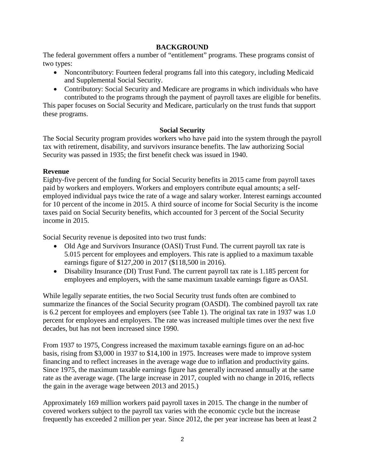### **BACKGROUND**

The federal government offers a number of "entitlement" programs. These programs consist of two types:

- Noncontributory: Fourteen federal programs fall into this category, including Medicaid and Supplemental Social Security.
- Contributory: Social Security and Medicare are programs in which individuals who have contributed to the programs through the payment of payroll taxes are eligible for benefits.

This paper focuses on Social Security and Medicare, particularly on the trust funds that support these programs.

### **Social Security**

The Social Security program provides workers who have paid into the system through the payroll tax with retirement, disability, and survivors insurance benefits. The law authorizing Social Security was passed in 1935; the first benefit check was issued in 1940.

### **Revenue**

Eighty-five percent of the funding for Social Security benefits in 2015 came from payroll taxes paid by workers and employers. Workers and employers contribute equal amounts; a selfemployed individual pays twice the rate of a wage and salary worker. Interest earnings accounted for 10 percent of the income in 2015. A third source of income for Social Security is the income taxes paid on Social Security benefits, which accounted for 3 percent of the Social Security income in 2015.

Social Security revenue is deposited into two trust funds:

- Old Age and Survivors Insurance (OASI) Trust Fund. The current payroll tax rate is 5.015 percent for employees and employers. This rate is applied to a maximum taxable earnings figure of \$127,200 in 2017 (\$118,500 in 2016).
- Disability Insurance (DI) Trust Fund. The current payroll tax rate is 1.185 percent for employees and employers, with the same maximum taxable earnings figure as OASI.

While legally separate entities, the two Social Security trust funds often are combined to summarize the finances of the Social Security program (OASDI). The combined payroll tax rate is 6.2 percent for employees and employers (see Table 1). The original tax rate in 1937 was 1.0 percent for employees and employers. The rate was increased multiple times over the next five decades, but has not been increased since 1990.

From 1937 to 1975, Congress increased the maximum taxable earnings figure on an ad-hoc basis, rising from \$3,000 in 1937 to \$14,100 in 1975. Increases were made to improve system financing and to reflect increases in the average wage due to inflation and productivity gains. Since 1975, the maximum taxable earnings figure has generally increased annually at the same rate as the average wage. (The large increase in 2017, coupled with no change in 2016, reflects the gain in the average wage between 2013 and 2015.)

Approximately 169 million workers paid payroll taxes in 2015. The change in the number of covered workers subject to the payroll tax varies with the economic cycle but the increase frequently has exceeded 2 million per year. Since 2012, the per year increase has been at least 2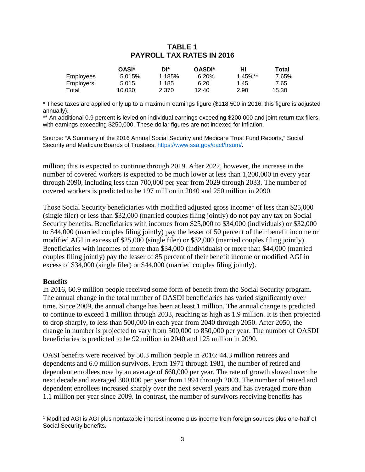## **TABLE 1 PAYROLL TAX RATES IN 2016**

|           | OASI*  | DI*    | <b>OASDI*</b> | нι                     | Total |
|-----------|--------|--------|---------------|------------------------|-------|
| Employees | 5.015% | 1.185% | 6.20%         | $1.45\%$ <sup>**</sup> | 7.65% |
| Emplovers | 5.015  | 1.185  | 6.20          | 1.45                   | 7.65  |
| Total     | 10.030 | 2.370  | 12.40         | 2.90                   | 15.30 |

\* These taxes are applied only up to a maximum earnings figure (\$118,500 in 2016; this figure is adjusted annually).

\*\* An additional 0.9 percent is levied on individual earnings exceeding \$200,000 and joint return tax filers with earnings exceeding \$250,000. These dollar figures are not indexed for inflation.

Source: "A Summary of the 2016 Annual Social Security and Medicare Trust Fund Reports," Social Security and Medicare Boards of Trustees, [https://www.ssa.gov/oact/trsum/.](https://www.ssa.gov/oact/trsum/)

million; this is expected to continue through 2019. After 2022, however, the increase in the number of covered workers is expected to be much lower at less than 1,200,000 in every year through 2090, including less than 700,000 per year from 2029 through 2033. The number of covered workers is predicted to be 197 million in 2040 and 250 million in 2090.

Those Social Security beneficiaries with modified adjusted gross income<sup>[1](#page-4-0)</sup> of less than \$25,000 (single filer) or less than \$32,000 (married couples filing jointly) do not pay any tax on Social Security benefits. Beneficiaries with incomes from \$25,000 to \$34,000 (individuals) or \$32,000 to \$44,000 (married couples filing jointly) pay the lesser of 50 percent of their benefit income or modified AGI in excess of \$25,000 (single filer) or \$32,000 (married couples filing jointly). Beneficiaries with incomes of more than \$34,000 (individuals) or more than \$44,000 (married couples filing jointly) pay the lesser of 85 percent of their benefit income or modified AGI in excess of \$34,000 (single filer) or \$44,000 (married couples filing jointly).

#### **Benefits**

In 2016, 60.9 million people received some form of benefit from the Social Security program. The annual change in the total number of OASDI beneficiaries has varied significantly over time. Since 2009, the annual change has been at least 1 million. The annual change is predicted to continue to exceed 1 million through 2033, reaching as high as 1.9 million. It is then projected to drop sharply, to less than 500,000 in each year from 2040 through 2050. After 2050, the change in number is projected to vary from 500,000 to 850,000 per year. The number of OASDI beneficiaries is predicted to be 92 million in 2040 and 125 million in 2090.

OASI benefits were received by 50.3 million people in 2016: 44.3 million retirees and dependents and 6.0 million survivors. From 1971 through 1981, the number of retired and dependent enrollees rose by an average of 660,000 per year. The rate of growth slowed over the next decade and averaged 300,000 per year from 1994 through 2003. The number of retired and dependent enrollees increased sharply over the next several years and has averaged more than 1.1 million per year since 2009. In contrast, the number of survivors receiving benefits has

l

<span id="page-4-0"></span><sup>1</sup> Modified AGI is AGI plus nontaxable interest income plus income from foreign sources plus one-half of Social Security benefits.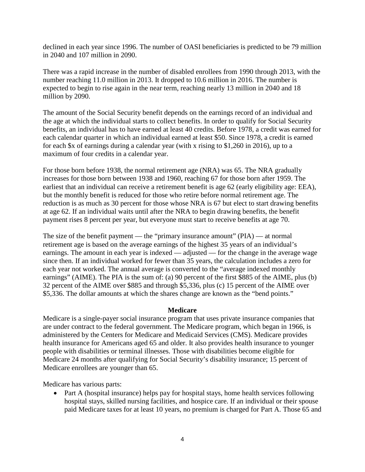declined in each year since 1996. The number of OASI beneficiaries is predicted to be 79 million in 2040 and 107 million in 2090.

There was a rapid increase in the number of disabled enrollees from 1990 through 2013, with the number reaching 11.0 million in 2013. It dropped to 10.6 million in 2016. The number is expected to begin to rise again in the near term, reaching nearly 13 million in 2040 and 18 million by 2090.

The amount of the Social Security benefit depends on the earnings record of an individual and the age at which the individual starts to collect benefits. In order to qualify for Social Security benefits, an individual has to have earned at least 40 credits. Before 1978, a credit was earned for each calendar quarter in which an individual earned at least \$50. Since 1978, a credit is earned for each \$x of earnings during a calendar year (with x rising to \$1,260 in 2016), up to a maximum of four credits in a calendar year.

For those born before 1938, the normal retirement age (NRA) was 65. The NRA gradually increases for those born between 1938 and 1960, reaching 67 for those born after 1959. The earliest that an individual can receive a retirement benefit is age 62 (early eligibility age: EEA), but the monthly benefit is reduced for those who retire before normal retirement age. The reduction is as much as 30 percent for those whose NRA is 67 but elect to start drawing benefits at age 62. If an individual waits until after the NRA to begin drawing benefits, the benefit payment rises 8 percent per year, but everyone must start to receive benefits at age 70.

The size of the benefit payment — the "primary insurance amount" (PIA) — at normal retirement age is based on the average earnings of the highest 35 years of an individual's earnings. The amount in each year is indexed — adjusted — for the change in the average wage since then. If an individual worked for fewer than 35 years, the calculation includes a zero for each year not worked. The annual average is converted to the "average indexed monthly earnings" (AIME). The PIA is the sum of: (a) 90 percent of the first \$885 of the AIME, plus (b) 32 percent of the AIME over \$885 and through \$5,336, plus (c) 15 percent of the AIME over \$5,336. The dollar amounts at which the shares change are known as the "bend points."

#### **Medicare**

Medicare is a single-payer social insurance program that uses private insurance companies that are under contract to the federal government. The Medicare program, which began in 1966, is administered by the Centers for Medicare and Medicaid Services (CMS). Medicare provides health insurance for Americans aged 65 and older. It also provides health insurance to younger people with disabilities or terminal illnesses. Those with disabilities become eligible for Medicare 24 months after qualifying for Social Security's disability insurance; 15 percent of Medicare enrollees are younger than 65.

Medicare has various parts:

• Part A (hospital insurance) helps pay for hospital stays, home health services following hospital stays, skilled nursing facilities, and hospice care. If an individual or their spouse paid Medicare taxes for at least 10 years, no premium is charged for Part A. Those 65 and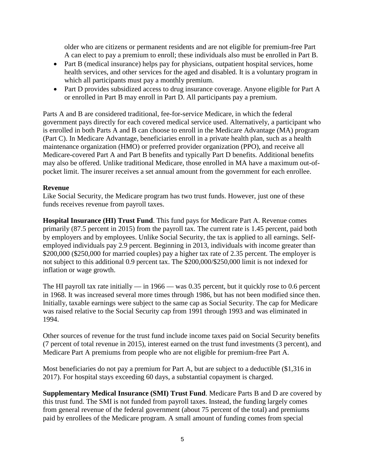older who are citizens or permanent residents and are not eligible for premium-free Part A can elect to pay a premium to enroll; these individuals also must be enrolled in Part B.

- Part B (medical insurance) helps pay for physicians, outpatient hospital services, home health services, and other services for the aged and disabled. It is a voluntary program in which all participants must pay a monthly premium.
- Part D provides subsidized access to drug insurance coverage. Anyone eligible for Part A or enrolled in Part B may enroll in Part D. All participants pay a premium.

Parts A and B are considered traditional, fee-for-service Medicare, in which the federal government pays directly for each covered medical service used. Alternatively, a participant who is enrolled in both Parts A and B can choose to enroll in the Medicare Advantage (MA) program (Part C). In Medicare Advantage, beneficiaries enroll in a private health plan, such as a health maintenance organization (HMO) or preferred provider organization (PPO), and receive all Medicare-covered Part A and Part B benefits and typically Part D benefits. Additional benefits may also be offered. Unlike traditional Medicare, those enrolled in MA have a maximum out-ofpocket limit. The insurer receives a set annual amount from the government for each enrollee.

#### **Revenue**

Like Social Security, the Medicare program has two trust funds. However, just one of these funds receives revenue from payroll taxes.

**Hospital Insurance (HI) Trust Fund**. This fund pays for Medicare Part A. Revenue comes primarily (87.5 percent in 2015) from the payroll tax. The current rate is 1.45 percent, paid both by employers and by employees. Unlike Social Security, the tax is applied to all earnings. Selfemployed individuals pay 2.9 percent. Beginning in 2013, individuals with income greater than \$200,000 (\$250,000 for married couples) pay a higher tax rate of 2.35 percent. The employer is not subject to this additional 0.9 percent tax. The \$200,000/\$250,000 limit is not indexed for inflation or wage growth.

The HI payroll tax rate initially — in 1966 — was 0.35 percent, but it quickly rose to 0.6 percent in 1968. It was increased several more times through 1986, but has not been modified since then. Initially, taxable earnings were subject to the same cap as Social Security. The cap for Medicare was raised relative to the Social Security cap from 1991 through 1993 and was eliminated in 1994.

Other sources of revenue for the trust fund include income taxes paid on Social Security benefits (7 percent of total revenue in 2015), interest earned on the trust fund investments (3 percent), and Medicare Part A premiums from people who are not eligible for premium-free Part A.

Most beneficiaries do not pay a premium for Part A, but are subject to a deductible (\$1,316 in 2017). For hospital stays exceeding 60 days, a substantial copayment is charged.

**Supplementary Medical Insurance (SMI) Trust Fund**. Medicare Parts B and D are covered by this trust fund. The SMI is not funded from payroll taxes. Instead, the funding largely comes from general revenue of the federal government (about 75 percent of the total) and premiums paid by enrollees of the Medicare program. A small amount of funding comes from special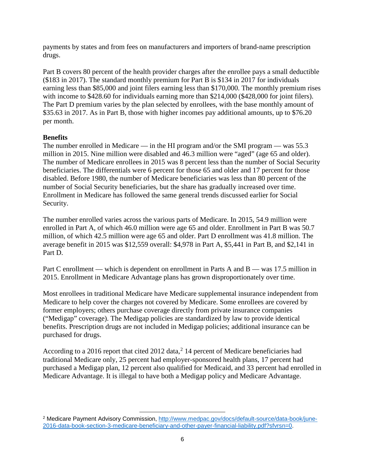payments by states and from fees on manufacturers and importers of brand-name prescription drugs.

Part B covers 80 percent of the health provider charges after the enrollee pays a small deductible (\$183 in 2017). The standard monthly premium for Part B is \$134 in 2017 for individuals earning less than \$85,000 and joint filers earning less than \$170,000. The monthly premium rises with income to \$428.60 for individuals earning more than \$214,000 (\$428,000 for joint filers). The Part D premium varies by the plan selected by enrollees, with the base monthly amount of \$35.63 in 2017. As in Part B, those with higher incomes pay additional amounts, up to \$76.20 per month.

### **Benefits**

The number enrolled in Medicare — in the HI program and/or the SMI program — was 55.3 million in 2015. Nine million were disabled and 46.3 million were "aged" (age 65 and older). The number of Medicare enrollees in 2015 was 8 percent less than the number of Social Security beneficiaries. The differentials were 6 percent for those 65 and older and 17 percent for those disabled. Before 1980, the number of Medicare beneficiaries was less than 80 percent of the number of Social Security beneficiaries, but the share has gradually increased over time. Enrollment in Medicare has followed the same general trends discussed earlier for Social Security.

The number enrolled varies across the various parts of Medicare. In 2015, 54.9 million were enrolled in Part A, of which 46.0 million were age 65 and older. Enrollment in Part B was 50.7 million, of which 42.5 million were age 65 and older. Part D enrollment was 41.8 million. The average benefit in 2015 was \$12,559 overall: \$4,978 in Part A, \$5,441 in Part B, and \$2,141 in Part D.

Part C enrollment — which is dependent on enrollment in Parts A and B — was 17.5 million in 2015. Enrollment in Medicare Advantage plans has grown disproportionately over time.

Most enrollees in traditional Medicare have Medicare supplemental insurance independent from Medicare to help cover the charges not covered by Medicare. Some enrollees are covered by former employers; others purchase coverage directly from private insurance companies ("Medigap" coverage). The Medigap policies are standardized by law to provide identical benefits. Prescription drugs are not included in Medigap policies; additional insurance can be purchased for drugs.

According to a [2](#page-7-0)016 report that cited 2012 data,  $2 \times 14$  percent of Medicare beneficiaries had traditional Medicare only, 25 percent had employer-sponsored health plans, 17 percent had purchased a Medigap plan, 12 percent also qualified for Medicaid, and 33 percent had enrolled in Medicare Advantage. It is illegal to have both a Medigap policy and Medicare Advantage.

l

<span id="page-7-0"></span><sup>&</sup>lt;sup>2</sup> Medicare Payment Advisory Commission, [http://www.medpac.gov/docs/default-source/data-book/june-](http://www.medpac.gov/docs/default-source/data-book/june-2016-data-book-section-3-medicare-beneficiary-and-other-payer-financial-liability.pdf?sfvrsn=0)[2016-data-book-section-3-medicare-beneficiary-and-other-payer-financial-liability.pdf?sfvrsn=0.](http://www.medpac.gov/docs/default-source/data-book/june-2016-data-book-section-3-medicare-beneficiary-and-other-payer-financial-liability.pdf?sfvrsn=0)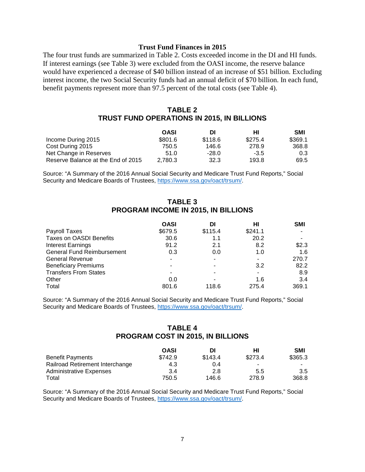#### **Trust Fund Finances in 2015**

The four trust funds are summarized in Table 2. Costs exceeded income in the DI and HI funds. If interest earnings (see Table 3) were excluded from the OASI income, the reserve balance would have experienced a decrease of \$40 billion instead of an increase of \$51 billion. Excluding interest income, the two Social Security funds had an annual deficit of \$70 billion. In each fund, benefit payments represent more than 97.5 percent of the total costs (see Table 4).

#### **TABLE 2 TRUST FUND OPERATIONS IN 2015, IN BILLIONS**

|                                    | <b>OASI</b> | DI      | нı      | <b>SMI</b> |
|------------------------------------|-------------|---------|---------|------------|
| Income During 2015                 | \$801.6     | \$118.6 | \$275.4 | \$369.1    |
| Cost During 2015                   | 750.5       | 146.6   | 278.9   | 368.8      |
| Net Change in Reserves             | 51.0        | $-28.0$ | $-3.5$  | 0.3        |
| Reserve Balance at the End of 2015 | 2.780.3     | 32.3    | 193.8   | 69.5       |

Source: "A Summary of the 2016 Annual Social Security and Medicare Trust Fund Reports," Social Security and Medicare Boards of Trustees, [https://www.ssa.gov/oact/trsum/.](https://www.ssa.gov/oact/trsum/)

#### **TABLE 3 PROGRAM INCOME IN 2015, IN BILLIONS**

|                                   | <b>OASI</b> | DI      | нι      | <b>SMI</b> |
|-----------------------------------|-------------|---------|---------|------------|
| Payroll Taxes                     | \$679.5     | \$115.4 | \$241.1 |            |
| <b>Taxes on OASDI Benefits</b>    | 30.6        | 1.1     | 20.2    |            |
| <b>Interest Earnings</b>          | 91.2        | 2.1     | 8.2     | \$2.3      |
| <b>General Fund Reimbursement</b> | 0.3         | 0.0     | 1.0     | 1.6        |
| <b>General Revenue</b>            |             |         | ۰       | 270.7      |
| <b>Beneficiary Premiums</b>       |             |         | 3.2     | 82.2       |
| <b>Transfers From States</b>      |             |         | -       | 8.9        |
| Other                             | 0.0         |         | 1.6     | 3.4        |
| Total                             | 801.6       | 118.6   | 275.4   | 369.1      |

Source: "A Summary of the 2016 Annual Social Security and Medicare Trust Fund Reports," Social Security and Medicare Boards of Trustees, [https://www.ssa.gov/oact/trsum/.](https://www.ssa.gov/oact/trsum/)

### **TABLE 4 PROGRAM COST IN 2015, IN BILLIONS**

|                                 | <b>OASI</b> | DI      | нι      | <b>SMI</b>    |
|---------------------------------|-------------|---------|---------|---------------|
| <b>Benefit Payments</b>         | \$742.9     | \$143.4 | \$273.4 | \$365.3       |
| Railroad Retirement Interchange | 4.3         | 0.4     | ۰       | $\sim$ $\sim$ |
| <b>Administrative Expenses</b>  | 3.4         | 2.8     | 5.5     | $3.5^{\circ}$ |
| Total                           | 750.5       | 146.6   | 278.9   | 368.8         |

Source: "A Summary of the 2016 Annual Social Security and Medicare Trust Fund Reports," Social Security and Medicare Boards of Trustees, [https://www.ssa.gov/oact/trsum/.](https://www.ssa.gov/oact/trsum/)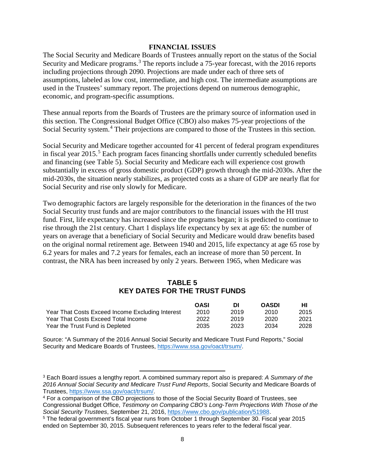#### **FINANCIAL ISSUES**

The Social Security and Medicare Boards of Trustees annually report on the status of the Social Security and Medicare programs.<sup>[3](#page-9-0)</sup> The reports include a 75-year forecast, with the 2016 reports including projections through 2090. Projections are made under each of three sets of assumptions, labeled as low cost, intermediate, and high cost. The intermediate assumptions are used in the Trustees' summary report. The projections depend on numerous demographic, economic, and program-specific assumptions.

These annual reports from the Boards of Trustees are the primary source of information used in this section. The Congressional Budget Office (CBO) also makes 75-year projections of the Social Security system.<sup>[4](#page-9-1)</sup> Their projections are compared to those of the Trustees in this section.

Social Security and Medicare together accounted for 41 percent of federal program expenditures in fiscal year  $2015<sup>5</sup>$  $2015<sup>5</sup>$  $2015<sup>5</sup>$  Each program faces financing shortfalls under currently scheduled benefits and financing (see Table 5). Social Security and Medicare each will experience cost growth substantially in excess of gross domestic product (GDP) growth through the mid-2030s. After the mid-2030s, the situation nearly stabilizes, as projected costs as a share of GDP are nearly flat for Social Security and rise only slowly for Medicare.

Two demographic factors are largely responsible for the deterioration in the finances of the two Social Security trust funds and are major contributors to the financial issues with the HI trust fund. First, life expectancy has increased since the programs began; it is predicted to continue to rise through the 21st century. Chart 1 displays life expectancy by sex at age 65: the number of years on average that a beneficiary of Social Security and Medicare would draw benefits based on the original normal retirement age. Between 1940 and 2015, life expectancy at age 65 rose by 6.2 years for males and 7.2 years for females, each an increase of more than 50 percent. In contrast, the NRA has been increased by only 2 years. Between 1965, when Medicare was

#### **TABLE 5 KEY DATES FOR THE TRUST FUNDS**

|                                                  | <b>OASI</b> | DІ   | <b>OASDI</b> | нı   |
|--------------------------------------------------|-------------|------|--------------|------|
| Year That Costs Exceed Income Excluding Interest | 2010        | 2019 | 2010         | 2015 |
| Year That Costs Exceed Total Income              | 2022        | 2019 | 2020         | 2021 |
| Year the Trust Fund is Depleted                  | 2035        | 2023 | 2034         | 2028 |

Source: "A Summary of the 2016 Annual Social Security and Medicare Trust Fund Reports," Social Security and Medicare Boards of Trustees, [https://www.ssa.gov/oact/trsum/.](https://www.ssa.gov/oact/trsum/)

 $\overline{\phantom{a}}$ 

<span id="page-9-0"></span><sup>3</sup> Each Board issues a lengthy report. A combined summary report also is prepared: *A Summary of the 2016 Annual Social Security and Medicare Trust Fund Reports*, Social Security and Medicare Boards of Trustees, [https://www.ssa.gov/oact/trsum/.](https://www.ssa.gov/oact/trsum/)

<span id="page-9-1"></span><sup>4</sup> For a comparison of the CBO projections to those of the Social Security Board of Trustees, see Congressional Budget Office, *Testimony on Comparing CBO's Long-Term Projections With Those of the Social Security Trustees*, September 21, 2016, [https://www.cbo.gov/publication/51988.](https://www.cbo.gov/publication/51988)

<span id="page-9-2"></span><sup>5</sup> The federal government's fiscal year runs from October 1 through September 30. Fiscal year 2015 ended on September 30, 2015. Subsequent references to years refer to the federal fiscal year.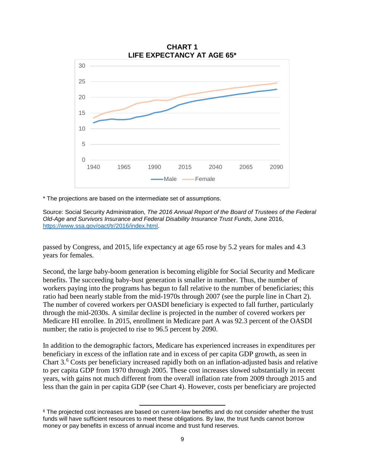

\* The projections are based on the intermediate set of assumptions.

Source: Social Security Administration, *The 2016 Annual Report of the Board of Trustees of the Federal Old-Age and Survivors Insurance and Federal Disability Insurance Trust Funds*, June 2016, [https://www.ssa.gov/oact/tr/2016/index.html.](https://www.ssa.gov/oact/tr/2016/index.html)

passed by Congress, and 2015, life expectancy at age 65 rose by 5.2 years for males and 4.3 years for females.

Second, the large baby-boom generation is becoming eligible for Social Security and Medicare benefits. The succeeding baby-bust generation is smaller in number. Thus, the number of workers paying into the programs has begun to fall relative to the number of beneficiaries; this ratio had been nearly stable from the mid-1970s through 2007 (see the purple line in Chart 2). The number of covered workers per OASDI beneficiary is expected to fall further, particularly through the mid-2030s. A similar decline is projected in the number of covered workers per Medicare HI enrollee. In 2015, enrollment in Medicare part A was 92.3 percent of the OASDI number; the ratio is projected to rise to 96.5 percent by 2090.

In addition to the demographic factors, Medicare has experienced increases in expenditures per beneficiary in excess of the inflation rate and in excess of per capita GDP growth, as seen in Chart 3.[6](#page-10-0) Costs per beneficiary increased rapidly both on an inflation-adjusted basis and relative to per capita GDP from 1970 through 2005. These cost increases slowed substantially in recent years, with gains not much different from the overall inflation rate from 2009 through 2015 and less than the gain in per capita GDP (see Chart 4). However, costs per beneficiary are projected

 $\overline{\phantom{a}}$ 

<span id="page-10-0"></span> $6$  The projected cost increases are based on current-law benefits and do not consider whether the trust funds will have sufficient resources to meet these obligations. By law, the trust funds cannot borrow money or pay benefits in excess of annual income and trust fund reserves.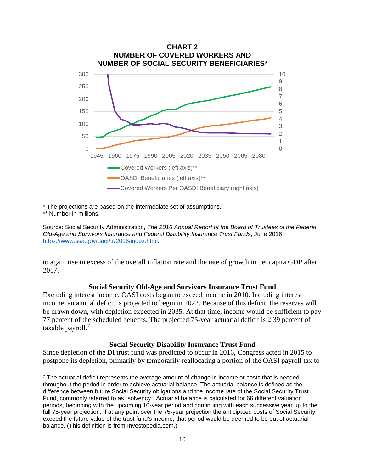

\* The projections are based on the intermediate set of assumptions.

 $\overline{\phantom{a}}$ 

\*\* Number in millions.

Source: Social Security Administration, *The 2016 Annual Report of the Board of Trustees of the Federal Old-Age and Survivors Insurance and Federal Disability Insurance Trust Funds*, June 2016, [https://www.ssa.gov/oact/tr/2016/index.html.](https://www.ssa.gov/oact/tr/2016/index.html)

to again rise in excess of the overall inflation rate and the rate of growth in per capita GDP after 2017.

#### **Social Security Old-Age and Survivors Insurance Trust Fund**

Excluding interest income, OASI costs began to exceed income in 2010. Including interest income, an annual deficit is projected to begin in 2022. Because of this deficit, the reserves will be drawn down, with depletion expected in 2035. At that time, income would be sufficient to pay 77 percent of the scheduled benefits. The projected 75-year actuarial deficit is 2.39 percent of taxable payroll.<sup>[7](#page-11-0)</sup>

#### **Social Security Disability Insurance Trust Fund**

Since depletion of the DI trust fund was predicted to occur in 2016, Congress acted in 2015 to postpone its depletion, primarily by temporarily reallocating a portion of the OASI payroll tax to

<span id="page-11-0"></span> $\frac{7}{1}$  The actuarial deficit represents the average amount of change in income or costs that is needed throughout the period in order to achieve actuarial balance. The actuarial balance is defined as the difference between future Social Security obligations and the income rate of the Social Security Trust Fund, commonly referred to as "solvency." Actuarial balance is calculated for 66 different valuation periods, beginning with the upcoming 10-year period and continuing with each successive year up to the full 75-year projection. If at any point over the 75-year projection the anticipated costs of Social Security exceed the future value of the trust fund's income, that period would be deemed to be out of actuarial balance. (This definition is from Investopedia.com.)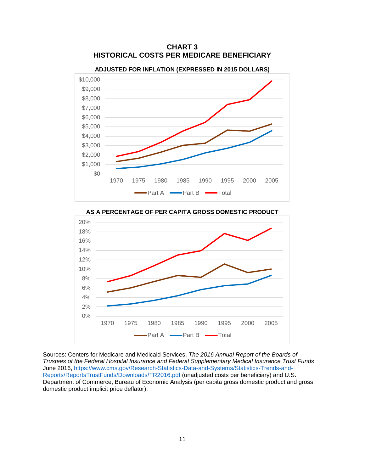

**CHART 3 HISTORICAL COSTS PER MEDICARE BENEFICIARY**

**AS A PERCENTAGE OF PER CAPITA GROSS DOMESTIC PRODUCT**



Sources: Centers for Medicare and Medicaid Services, *The 2016 Annual Report of the Boards of Trustees of the Federal Hospital Insurance and Federal Supplementary Medical Insurance Trust Funds*, June 2016, [https://www.cms.gov/Research-Statistics-Data-and-Systems/Statistics-Trends-and-](https://www.cms.gov/Research-Statistics-Data-and-Systems/Statistics-Trends-and-Reports/ReportsTrustFunds/Downloads/TR2016.pdf)[Reports/ReportsTrustFunds/Downloads/TR2016.pdf](https://www.cms.gov/Research-Statistics-Data-and-Systems/Statistics-Trends-and-Reports/ReportsTrustFunds/Downloads/TR2016.pdf) (unadjusted costs per beneficiary) and U.S. Department of Commerce, Bureau of Economic Analysis (per capita gross domestic product and gross domestic product implicit price deflator).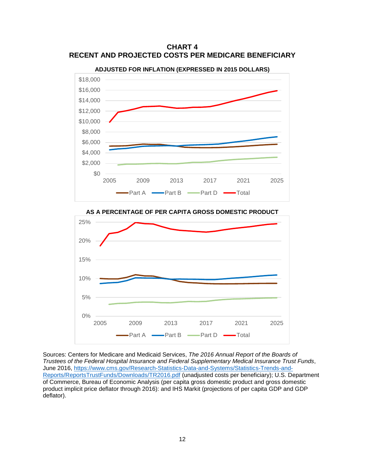**CHART 4 RECENT AND PROJECTED COSTS PER MEDICARE BENEFICIARY**



**ADJUSTED FOR INFLATION (EXPRESSED IN 2015 DOLLARS)**



**AS A PERCENTAGE OF PER CAPITA GROSS DOMESTIC PRODUCT**

Sources: Centers for Medicare and Medicaid Services, *The 2016 Annual Report of the Boards of Trustees of the Federal Hospital Insurance and Federal Supplementary Medical Insurance Trust Funds*, June 2016, [https://www.cms.gov/Research-Statistics-Data-and-Systems/Statistics-Trends-and-](https://www.cms.gov/Research-Statistics-Data-and-Systems/Statistics-Trends-and-Reports/ReportsTrustFunds/Downloads/TR2016.pdf)[Reports/ReportsTrustFunds/Downloads/TR2016.pdf](https://www.cms.gov/Research-Statistics-Data-and-Systems/Statistics-Trends-and-Reports/ReportsTrustFunds/Downloads/TR2016.pdf) (unadjusted costs per beneficiary); U.S. Department of Commerce, Bureau of Economic Analysis (per capita gross domestic product and gross domestic product implicit price deflator through 2016): and IHS Markit (projections of per capita GDP and GDP deflator).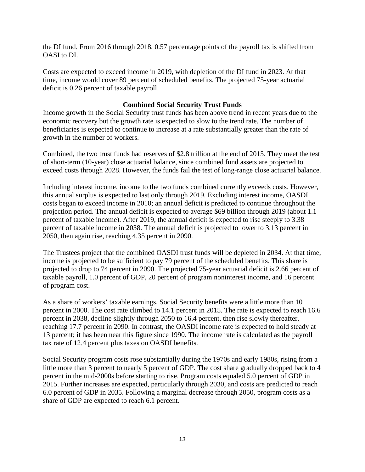the DI fund. From 2016 through 2018, 0.57 percentage points of the payroll tax is shifted from OASI to DI.

Costs are expected to exceed income in 2019, with depletion of the DI fund in 2023. At that time, income would cover 89 percent of scheduled benefits. The projected 75-year actuarial deficit is 0.26 percent of taxable payroll.

### **Combined Social Security Trust Funds**

Income growth in the Social Security trust funds has been above trend in recent years due to the economic recovery but the growth rate is expected to slow to the trend rate. The number of beneficiaries is expected to continue to increase at a rate substantially greater than the rate of growth in the number of workers.

Combined, the two trust funds had reserves of \$2.8 trillion at the end of 2015. They meet the test of short-term (10-year) close actuarial balance, since combined fund assets are projected to exceed costs through 2028. However, the funds fail the test of long-range close actuarial balance.

Including interest income, income to the two funds combined currently exceeds costs. However, this annual surplus is expected to last only through 2019. Excluding interest income, OASDI costs began to exceed income in 2010; an annual deficit is predicted to continue throughout the projection period. The annual deficit is expected to average \$69 billion through 2019 (about 1.1 percent of taxable income). After 2019, the annual deficit is expected to rise steeply to 3.38 percent of taxable income in 2038. The annual deficit is projected to lower to 3.13 percent in 2050, then again rise, reaching 4.35 percent in 2090.

The Trustees project that the combined OASDI trust funds will be depleted in 2034. At that time, income is projected to be sufficient to pay 79 percent of the scheduled benefits. This share is projected to drop to 74 percent in 2090. The projected 75-year actuarial deficit is 2.66 percent of taxable payroll, 1.0 percent of GDP, 20 percent of program noninterest income, and 16 percent of program cost.

As a share of workers' taxable earnings, Social Security benefits were a little more than 10 percent in 2000. The cost rate climbed to 14.1 percent in 2015. The rate is expected to reach 16.6 percent in 2038, decline slightly through 2050 to 16.4 percent, then rise slowly thereafter, reaching 17.7 percent in 2090. In contrast, the OASDI income rate is expected to hold steady at 13 percent; it has been near this figure since 1990. The income rate is calculated as the payroll tax rate of 12.4 percent plus taxes on OASDI benefits.

Social Security program costs rose substantially during the 1970s and early 1980s, rising from a little more than 3 percent to nearly 5 percent of GDP. The cost share gradually dropped back to 4 percent in the mid-2000s before starting to rise. Program costs equaled 5.0 percent of GDP in 2015. Further increases are expected, particularly through 2030, and costs are predicted to reach 6.0 percent of GDP in 2035. Following a marginal decrease through 2050, program costs as a share of GDP are expected to reach 6.1 percent.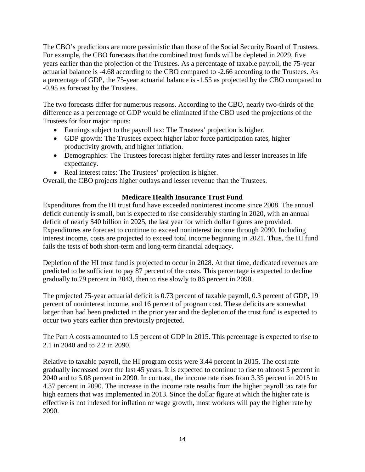The CBO's predictions are more pessimistic than those of the Social Security Board of Trustees. For example, the CBO forecasts that the combined trust funds will be depleted in 2029, five years earlier than the projection of the Trustees. As a percentage of taxable payroll, the 75-year actuarial balance is -4.68 according to the CBO compared to -2.66 according to the Trustees. As a percentage of GDP, the 75-year actuarial balance is -1.55 as projected by the CBO compared to -0.95 as forecast by the Trustees.

The two forecasts differ for numerous reasons. According to the CBO, nearly two-thirds of the difference as a percentage of GDP would be eliminated if the CBO used the projections of the Trustees for four major inputs:

- Earnings subject to the payroll tax: The Trustees' projection is higher.
- GDP growth: The Trustees expect higher labor force participation rates, higher productivity growth, and higher inflation.
- Demographics: The Trustees forecast higher fertility rates and lesser increases in life expectancy.
- Real interest rates: The Trustees' projection is higher.

Overall, the CBO projects higher outlays and lesser revenue than the Trustees.

# **Medicare Health Insurance Trust Fund**

Expenditures from the HI trust fund have exceeded noninterest income since 2008. The annual deficit currently is small, but is expected to rise considerably starting in 2020, with an annual deficit of nearly \$40 billion in 2025, the last year for which dollar figures are provided. Expenditures are forecast to continue to exceed noninterest income through 2090. Including interest income, costs are projected to exceed total income beginning in 2021. Thus, the HI fund fails the tests of both short-term and long-term financial adequacy.

Depletion of the HI trust fund is projected to occur in 2028. At that time, dedicated revenues are predicted to be sufficient to pay 87 percent of the costs. This percentage is expected to decline gradually to 79 percent in 2043, then to rise slowly to 86 percent in 2090.

The projected 75-year actuarial deficit is 0.73 percent of taxable payroll, 0.3 percent of GDP, 19 percent of noninterest income, and 16 percent of program cost. These deficits are somewhat larger than had been predicted in the prior year and the depletion of the trust fund is expected to occur two years earlier than previously projected.

The Part A costs amounted to 1.5 percent of GDP in 2015. This percentage is expected to rise to 2.1 in 2040 and to 2.2 in 2090.

Relative to taxable payroll, the HI program costs were 3.44 percent in 2015. The cost rate gradually increased over the last 45 years. It is expected to continue to rise to almost 5 percent in 2040 and to 5.08 percent in 2090. In contrast, the income rate rises from 3.35 percent in 2015 to 4.37 percent in 2090. The increase in the income rate results from the higher payroll tax rate for high earners that was implemented in 2013. Since the dollar figure at which the higher rate is effective is not indexed for inflation or wage growth, most workers will pay the higher rate by 2090.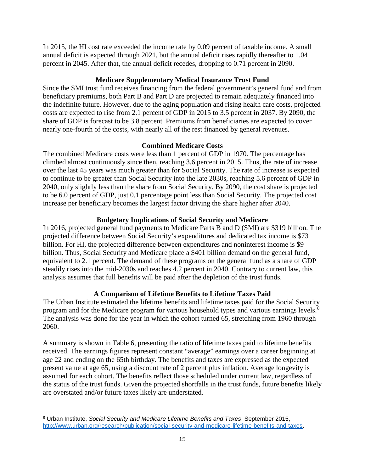In 2015, the HI cost rate exceeded the income rate by 0.09 percent of taxable income. A small annual deficit is expected through 2021, but the annual deficit rises rapidly thereafter to 1.04 percent in 2045. After that, the annual deficit recedes, dropping to 0.71 percent in 2090.

## **Medicare Supplementary Medical Insurance Trust Fund**

Since the SMI trust fund receives financing from the federal government's general fund and from beneficiary premiums, both Part B and Part D are projected to remain adequately financed into the indefinite future. However, due to the aging population and rising health care costs, projected costs are expected to rise from 2.1 percent of GDP in 2015 to 3.5 percent in 2037. By 2090, the share of GDP is forecast to be 3.8 percent. Premiums from beneficiaries are expected to cover nearly one-fourth of the costs, with nearly all of the rest financed by general revenues.

## **Combined Medicare Costs**

The combined Medicare costs were less than 1 percent of GDP in 1970. The percentage has climbed almost continuously since then, reaching 3.6 percent in 2015. Thus, the rate of increase over the last 45 years was much greater than for Social Security. The rate of increase is expected to continue to be greater than Social Security into the late 2030s, reaching 5.6 percent of GDP in 2040, only slightly less than the share from Social Security. By 2090, the cost share is projected to be 6.0 percent of GDP, just 0.1 percentage point less than Social Security. The projected cost increase per beneficiary becomes the largest factor driving the share higher after 2040.

# **Budgetary Implications of Social Security and Medicare**

In 2016, projected general fund payments to Medicare Parts B and D (SMI) are \$319 billion. The projected difference between Social Security's expenditures and dedicated tax income is \$73 billion. For HI, the projected difference between expenditures and noninterest income is \$9 billion. Thus, Social Security and Medicare place a \$401 billion demand on the general fund, equivalent to 2.1 percent. The demand of these programs on the general fund as a share of GDP steadily rises into the mid-2030s and reaches 4.2 percent in 2040. Contrary to current law, this analysis assumes that full benefits will be paid after the depletion of the trust funds.

# **A Comparison of Lifetime Benefits to Lifetime Taxes Paid**

The Urban Institute estimated the lifetime benefits and lifetime taxes paid for the Social Security program and for the Medicare program for various household types and various earnings levels.<sup>[8](#page-16-0)</sup> The analysis was done for the year in which the cohort turned 65, stretching from 1960 through 2060.

A summary is shown in Table 6, presenting the ratio of lifetime taxes paid to lifetime benefits received. The earnings figures represent constant "average" earnings over a career beginning at age 22 and ending on the 65th birthday. The benefits and taxes are expressed as the expected present value at age 65, using a discount rate of 2 percent plus inflation. Average longevity is assumed for each cohort. The benefits reflect those scheduled under current law, regardless of the status of the trust funds. Given the projected shortfalls in the trust funds, future benefits likely are overstated and/or future taxes likely are understated.

<span id="page-16-0"></span>l <sup>8</sup> Urban Institute, *Social Security and Medicare Lifetime Benefits and Taxes*, September 2015, [http://www.urban.org/research/publication/social-security-and-medicare-lifetime-benefits-and-taxes.](http://www.urban.org/research/publication/social-security-and-medicare-lifetime-benefits-and-taxes)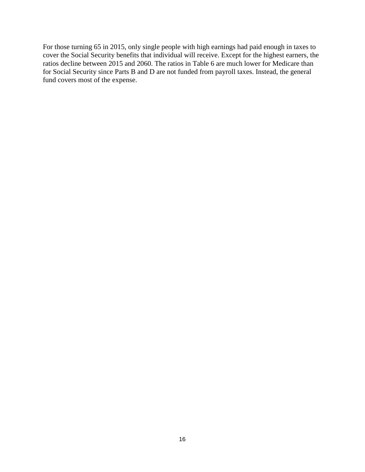For those turning 65 in 2015, only single people with high earnings had paid enough in taxes to cover the Social Security benefits that individual will receive. Except for the highest earners, the ratios decline between 2015 and 2060. The ratios in Table 6 are much lower for Medicare than for Social Security since Parts B and D are not funded from payroll taxes. Instead, the general fund covers most of the expense.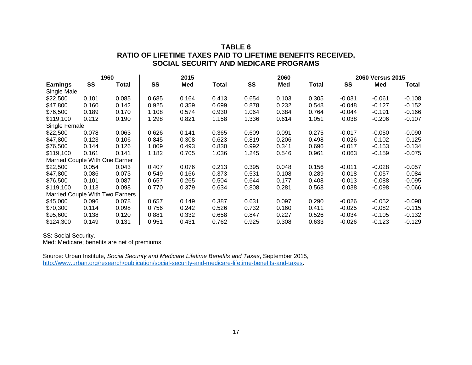## **TABLE 6 RATIO OF LIFETIME TAXES PAID TO LIFETIME BENEFITS RECEIVED, SOCIAL SECURITY AND MEDICARE PROGRAMS**

|                                 |       | 1960  |       | 2015       |       |       | 2060  |              | 2060 Versus 2015 |          |          |
|---------------------------------|-------|-------|-------|------------|-------|-------|-------|--------------|------------------|----------|----------|
| <b>Earnings</b>                 | SS    | Total | SS    | <b>Med</b> | Total | SS    | Med   | <b>Total</b> | SS               | Med      | Total    |
| Single Male                     |       |       |       |            |       |       |       |              |                  |          |          |
| \$22,500                        | 0.101 | 0.085 | 0.685 | 0.164      | 0.413 | 0.654 | 0.103 | 0.305        | $-0.031$         | $-0.061$ | $-0.108$ |
| \$47,800                        | 0.160 | 0.142 | 0.925 | 0.359      | 0.699 | 0.878 | 0.232 | 0.548        | $-0.048$         | $-0.127$ | $-0.152$ |
| \$76,500                        | 0.189 | 0.170 | 1.108 | 0.574      | 0.930 | 1.064 | 0.384 | 0.764        | -0.044           | $-0.191$ | $-0.166$ |
| \$119,100                       | 0.212 | 0.190 | 1.298 | 0.821      | 1.158 | 1.336 | 0.614 | 1.051        | 0.038            | $-0.206$ | $-0.107$ |
| Single Female                   |       |       |       |            |       |       |       |              |                  |          |          |
| \$22,500                        | 0.078 | 0.063 | 0.626 | 0.141      | 0.365 | 0.609 | 0.091 | 0.275        | $-0.017$         | $-0.050$ | $-0.090$ |
| \$47,800                        | 0.123 | 0.106 | 0.845 | 0.308      | 0.623 | 0.819 | 0.206 | 0.498        | $-0.026$         | $-0.102$ | $-0.125$ |
| \$76,500                        | 0.144 | 0.126 | 1.009 | 0.493      | 0.830 | 0.992 | 0.341 | 0.696        | $-0.017$         | $-0.153$ | $-0.134$ |
| \$119,100                       | 0.161 | 0.141 | 1.182 | 0.705      | 1.036 | 1.245 | 0.546 | 0.961        | 0.063            | $-0.159$ | $-0.075$ |
| Married Couple With One Earner  |       |       |       |            |       |       |       |              |                  |          |          |
| \$22,500                        | 0.054 | 0.043 | 0.407 | 0.076      | 0.213 | 0.395 | 0.048 | 0.156        | $-0.011$         | $-0.028$ | $-0.057$ |
| \$47,800                        | 0.086 | 0.073 | 0.549 | 0.166      | 0.373 | 0.531 | 0.108 | 0.289        | $-0.018$         | $-0.057$ | $-0.084$ |
| \$76,500                        | 0.101 | 0.087 | 0.657 | 0.265      | 0.504 | 0.644 | 0.177 | 0.408        | -0.013           | $-0.088$ | -0.095   |
| \$119,100                       | 0.113 | 0.098 | 0.770 | 0.379      | 0.634 | 0.808 | 0.281 | 0.568        | 0.038            | $-0.098$ | -0.066   |
| Married Couple With Two Earners |       |       |       |            |       |       |       |              |                  |          |          |
| \$45,000                        | 0.096 | 0.078 | 0.657 | 0.149      | 0.387 | 0.631 | 0.097 | 0.290        | $-0.026$         | $-0.052$ | $-0.098$ |
| \$70,300                        | 0.114 | 0.098 | 0.756 | 0.242      | 0.526 | 0.732 | 0.160 | 0.411        | $-0.025$         | $-0.082$ | $-0.115$ |
| \$95,600                        | 0.138 | 0.120 | 0.881 | 0.332      | 0.658 | 0.847 | 0.227 | 0.526        | $-0.034$         | $-0.105$ | -0.132   |
| \$124,300                       | 0.149 | 0.131 | 0.951 | 0.431      | 0.762 | 0.925 | 0.308 | 0.633        | -0.026           | $-0.123$ | -0.129   |

SS: Social Security.

Med: Medicare; benefits are net of premiums.

Source: Urban Institute, *Social Security and Medicare Lifetime Benefits and Taxes*, September 2015, [http://www.urban.org/research/publication/social-security-and-medicare-lifetime-benefits-and-taxes.](http://www.urban.org/research/publication/social-security-and-medicare-lifetime-benefits-and-taxes)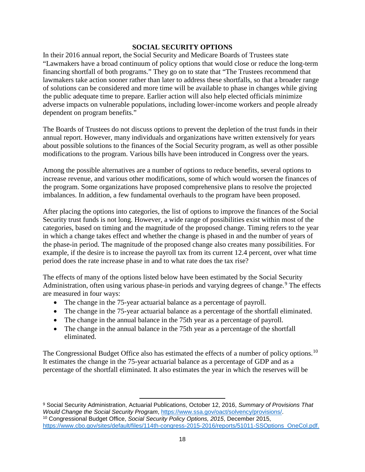#### **SOCIAL SECURITY OPTIONS**

In their 2016 annual report, the Social Security and Medicare Boards of Trustees state "Lawmakers have a broad continuum of policy options that would close or reduce the long-term financing shortfall of both programs." They go on to state that "The Trustees recommend that lawmakers take action sooner rather than later to address these shortfalls, so that a broader range of solutions can be considered and more time will be available to phase in changes while giving the public adequate time to prepare. Earlier action will also help elected officials minimize adverse impacts on vulnerable populations, including lower-income workers and people already dependent on program benefits."

The Boards of Trustees do not discuss options to prevent the depletion of the trust funds in their annual report. However, many individuals and organizations have written extensively for years about possible solutions to the finances of the Social Security program, as well as other possible modifications to the program. Various bills have been introduced in Congress over the years.

Among the possible alternatives are a number of options to reduce benefits, several options to increase revenue, and various other modifications, some of which would worsen the finances of the program. Some organizations have proposed comprehensive plans to resolve the projected imbalances. In addition, a few fundamental overhauls to the program have been proposed.

After placing the options into categories, the list of options to improve the finances of the Social Security trust funds is not long. However, a wide range of possibilities exist within most of the categories, based on timing and the magnitude of the proposed change. Timing refers to the year in which a change takes effect and whether the change is phased in and the number of years of the phase-in period. The magnitude of the proposed change also creates many possibilities. For example, if the desire is to increase the payroll tax from its current 12.4 percent, over what time period does the rate increase phase in and to what rate does the tax rise?

The effects of many of the options listed below have been estimated by the Social Security Administration, often using various phase-in periods and varying degrees of change.<sup>[9](#page-19-0)</sup> The effects are measured in four ways:

- The change in the 75-year actuarial balance as a percentage of payroll.
- The change in the 75-year actuarial balance as a percentage of the shortfall eliminated.
- The change in the annual balance in the 75th year as a percentage of payroll.
- The change in the annual balance in the 75th year as a percentage of the shortfall eliminated.

The Congressional Budget Office also has estimated the effects of a number of policy options.<sup>[10](#page-19-1)</sup> It estimates the change in the 75-year actuarial balance as a percentage of GDP and as a percentage of the shortfall eliminated. It also estimates the year in which the reserves will be

<span id="page-19-1"></span><span id="page-19-0"></span>l <sup>9</sup> Social Security Administration, Actuarial Publications, October 12, 2016, *Summary of Provisions That Would Change the Social Security Program*, [https://www.ssa.gov/oact/solvency/provisions/.](https://www.ssa.gov/oact/solvency/provisions/) <sup>10</sup> Congressional Budget Office, *Social Security Policy Options, 2015*, December 2015, [https://www.cbo.gov/sites/default/files/114th-congress-2015-2016/reports/51011-SSOptions\\_OneCol.pdf.](https://www.cbo.gov/sites/default/files/114th-congress-2015-2016/reports/51011-SSOptions_OneCol.pdf)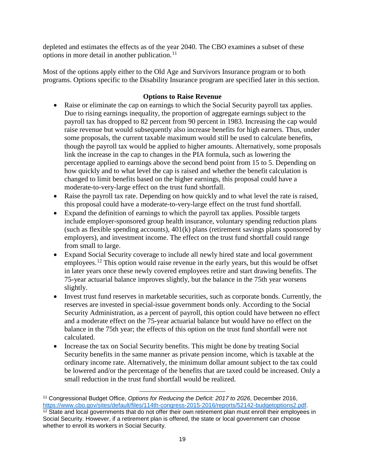depleted and estimates the effects as of the year 2040. The CBO examines a subset of these options in more detail in another publication.<sup>[11](#page-20-0)</sup>

Most of the options apply either to the Old Age and Survivors Insurance program or to both programs. Options specific to the Disability Insurance program are specified later in this section.

## **Options to Raise Revenue**

- Raise or eliminate the cap on earnings to which the Social Security payroll tax applies. Due to rising earnings inequality, the proportion of aggregate earnings subject to the payroll tax has dropped to 82 percent from 90 percent in 1983. Increasing the cap would raise revenue but would subsequently also increase benefits for high earners. Thus, under some proposals, the current taxable maximum would still be used to calculate benefits, though the payroll tax would be applied to higher amounts. Alternatively, some proposals link the increase in the cap to changes in the PIA formula, such as lowering the percentage applied to earnings above the second bend point from 15 to 5. Depending on how quickly and to what level the cap is raised and whether the benefit calculation is changed to limit benefits based on the higher earnings, this proposal could have a moderate-to-very-large effect on the trust fund shortfall.
- Raise the payroll tax rate. Depending on how quickly and to what level the rate is raised, this proposal could have a moderate-to-very-large effect on the trust fund shortfall.
- Expand the definition of earnings to which the payroll tax applies. Possible targets include employer-sponsored group health insurance, voluntary spending reduction plans (such as flexible spending accounts), 401(k) plans (retirement savings plans sponsored by employers), and investment income. The effect on the trust fund shortfall could range from small to large.
- Expand Social Security coverage to include all newly hired state and local government employees.<sup>[12](#page-20-1)</sup> This option would raise revenue in the early years, but this would be offset in later years once these newly covered employees retire and start drawing benefits. The 75-year actuarial balance improves slightly, but the balance in the 75th year worsens slightly.
- Invest trust fund reserves in marketable securities, such as corporate bonds. Currently, the reserves are invested in special-issue government bonds only. According to the Social Security Administration, as a percent of payroll, this option could have between no effect and a moderate effect on the 75-year actuarial balance but would have no effect on the balance in the 75th year; the effects of this option on the trust fund shortfall were not calculated.
- Increase the tax on Social Security benefits. This might be done by treating Social Security benefits in the same manner as private pension income, which is taxable at the ordinary income rate. Alternatively, the minimum dollar amount subject to the tax could be lowered and/or the percentage of the benefits that are taxed could be increased. Only a small reduction in the trust fund shortfall would be realized.

 $\overline{\phantom{a}}$ 

<span id="page-20-1"></span><span id="page-20-0"></span><sup>11</sup> Congressional Budget Office, *Options for Reducing the Deficit: 2017 to 2026*, December 2016, [https://www.cbo.gov/sites/default/files/114th-congress-2015-2016/reports/52142-budgetoptions2.pdf.](https://www.cbo.gov/sites/default/files/114th-congress-2015-2016/reports/52142-budgetoptions2.pdf) <sup>12</sup> State and local governments that do not offer their own retirement plan must enroll their employees in Social Security. However, if a retirement plan is offered, the state or local government can choose whether to enroll its workers in Social Security.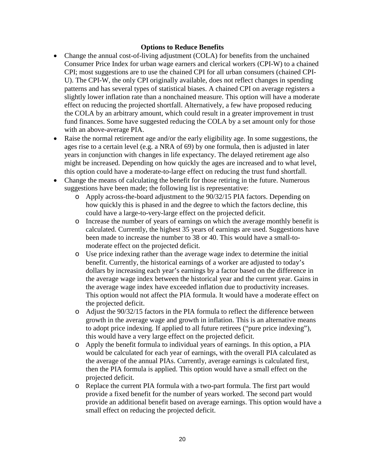### **Options to Reduce Benefits**

- Change the annual cost-of-living adjustment (COLA) for benefits from the unchained Consumer Price Index for urban wage earners and clerical workers (CPI-W) to a chained CPI; most suggestions are to use the chained CPI for all urban consumers (chained CPI-U). The CPI-W, the only CPI originally available, does not reflect changes in spending patterns and has several types of statistical biases. A chained CPI on average registers a slightly lower inflation rate than a nonchained measure. This option will have a moderate effect on reducing the projected shortfall. Alternatively, a few have proposed reducing the COLA by an arbitrary amount, which could result in a greater improvement in trust fund finances. Some have suggested reducing the COLA by a set amount only for those with an above-average PIA.
- Raise the normal retirement age and/or the early eligibility age. In some suggestions, the ages rise to a certain level (e.g. a NRA of 69) by one formula, then is adjusted in later years in conjunction with changes in life expectancy. The delayed retirement age also might be increased. Depending on how quickly the ages are increased and to what level, this option could have a moderate-to-large effect on reducing the trust fund shortfall.
- Change the means of calculating the benefit for those retiring in the future. Numerous suggestions have been made; the following list is representative:
	- o Apply across-the-board adjustment to the 90/32/15 PIA factors. Depending on how quickly this is phased in and the degree to which the factors decline, this could have a large-to-very-large effect on the projected deficit.
	- o Increase the number of years of earnings on which the average monthly benefit is calculated. Currently, the highest 35 years of earnings are used. Suggestions have been made to increase the number to 38 or 40. This would have a small-tomoderate effect on the projected deficit.
	- o Use price indexing rather than the average wage index to determine the initial benefit. Currently, the historical earnings of a worker are adjusted to today's dollars by increasing each year's earnings by a factor based on the difference in the average wage index between the historical year and the current year. Gains in the average wage index have exceeded inflation due to productivity increases. This option would not affect the PIA formula. It would have a moderate effect on the projected deficit.
	- o Adjust the 90/32/15 factors in the PIA formula to reflect the difference between growth in the average wage and growth in inflation. This is an alternative means to adopt price indexing. If applied to all future retirees ("pure price indexing"), this would have a very large effect on the projected deficit.
	- o Apply the benefit formula to individual years of earnings. In this option, a PIA would be calculated for each year of earnings, with the overall PIA calculated as the average of the annual PIAs. Currently, average earnings is calculated first, then the PIA formula is applied. This option would have a small effect on the projected deficit.
	- o Replace the current PIA formula with a two-part formula. The first part would provide a fixed benefit for the number of years worked. The second part would provide an additional benefit based on average earnings. This option would have a small effect on reducing the projected deficit.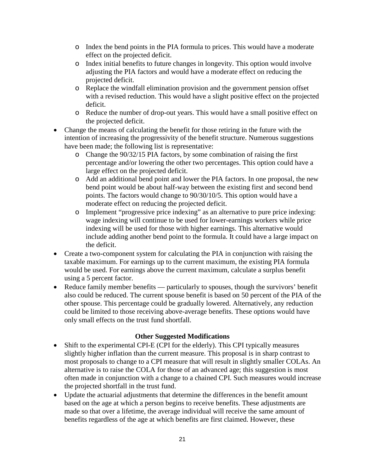- o Index the bend points in the PIA formula to prices. This would have a moderate effect on the projected deficit.
- o Index initial benefits to future changes in longevity. This option would involve adjusting the PIA factors and would have a moderate effect on reducing the projected deficit.
- o Replace the windfall elimination provision and the government pension offset with a revised reduction. This would have a slight positive effect on the projected deficit.
- o Reduce the number of drop-out years. This would have a small positive effect on the projected deficit.
- Change the means of calculating the benefit for those retiring in the future with the intention of increasing the progressivity of the benefit structure. Numerous suggestions have been made; the following list is representative:
	- o Change the 90/32/15 PIA factors, by some combination of raising the first percentage and/or lowering the other two percentages. This option could have a large effect on the projected deficit.
	- o Add an additional bend point and lower the PIA factors. In one proposal, the new bend point would be about half-way between the existing first and second bend points. The factors would change to 90/30/10/5. This option would have a moderate effect on reducing the projected deficit.
	- o Implement "progressive price indexing" as an alternative to pure price indexing: wage indexing will continue to be used for lower-earnings workers while price indexing will be used for those with higher earnings. This alternative would include adding another bend point to the formula. It could have a large impact on the deficit.
- Create a two-component system for calculating the PIA in conjunction with raising the taxable maximum. For earnings up to the current maximum, the existing PIA formula would be used. For earnings above the current maximum, calculate a surplus benefit using a 5 percent factor.
- Reduce family member benefits particularly to spouses, though the survivors' benefit also could be reduced. The current spouse benefit is based on 50 percent of the PIA of the other spouse. This percentage could be gradually lowered. Alternatively, any reduction could be limited to those receiving above-average benefits. These options would have only small effects on the trust fund shortfall.

## **Other Suggested Modifications**

- Shift to the experimental CPI-E (CPI for the elderly). This CPI typically measures slightly higher inflation than the current measure. This proposal is in sharp contrast to most proposals to change to a CPI measure that will result in slightly smaller COLAs. An alternative is to raise the COLA for those of an advanced age; this suggestion is most often made in conjunction with a change to a chained CPI. Such measures would increase the projected shortfall in the trust fund.
- Update the actuarial adjustments that determine the differences in the benefit amount based on the age at which a person begins to receive benefits. These adjustments are made so that over a lifetime, the average individual will receive the same amount of benefits regardless of the age at which benefits are first claimed. However, these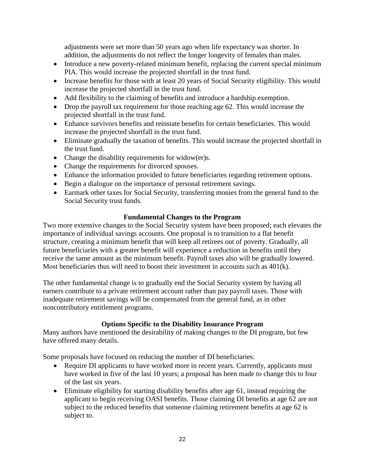adjustments were set more than 50 years ago when life expectancy was shorter. In addition, the adjustments do not reflect the longer longevity of females than males.

- Introduce a new poverty-related minimum benefit, replacing the current special minimum PIA. This would increase the projected shortfall in the trust fund.
- Increase benefits for those with at least 20 years of Social Security eligibility. This would increase the projected shortfall in the trust fund.
- Add flexibility to the claiming of benefits and introduce a hardship exemption.
- Drop the payroll tax requirement for those reaching age 62. This would increase the projected shortfall in the trust fund.
- Enhance survivors benefits and reinstate benefits for certain beneficiaries. This would increase the projected shortfall in the trust fund.
- Eliminate gradually the taxation of benefits. This would increase the projected shortfall in the trust fund.
- Change the disability requirements for widow(er)s.
- Change the requirements for divorced spouses.
- Enhance the information provided to future beneficiaries regarding retirement options.
- Begin a dialogue on the importance of personal retirement savings.
- Earmark other taxes for Social Security, transferring monies from the general fund to the Social Security trust funds.

# **Fundamental Changes to the Program**

Two more extensive changes to the Social Security system have been proposed; each elevates the importance of individual savings accounts. One proposal is to transition to a flat benefit structure, creating a minimum benefit that will keep all retirees out of poverty. Gradually, all future beneficiaries with a greater benefit will experience a reduction in benefits until they receive the same amount as the minimum benefit. Payroll taxes also will be gradually lowered. Most beneficiaries thus will need to boost their investment in accounts such as 401(k).

The other fundamental change is to gradually end the Social Security system by having all earners contribute to a private retirement account rather than pay payroll taxes. Those with inadequate retirement savings will be compensated from the general fund, as in other noncontributory entitlement programs.

## **Options Specific to the Disability Insurance Program**

Many authors have mentioned the desirability of making changes to the DI program, but few have offered many details.

Some proposals have focused on reducing the number of DI beneficiaries:

- Require DI applicants to have worked more in recent years. Currently, applicants must have worked in five of the last 10 years; a proposal has been made to change this to four of the last six years.
- Eliminate eligibility for starting disability benefits after age 61, instead requiring the applicant to begin receiving OASI benefits. Those claiming DI benefits at age 62 are not subject to the reduced benefits that someone claiming retirement benefits at age 62 is subject to.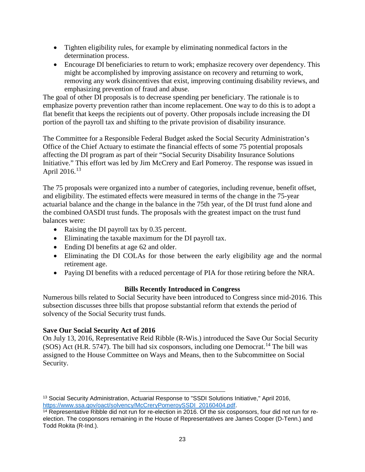- Tighten eligibility rules, for example by eliminating nonmedical factors in the determination process.
- Encourage DI beneficiaries to return to work; emphasize recovery over dependency. This might be accomplished by improving assistance on recovery and returning to work, removing any work disincentives that exist, improving continuing disability reviews, and emphasizing prevention of fraud and abuse.

The goal of other DI proposals is to decrease spending per beneficiary. The rationale is to emphasize poverty prevention rather than income replacement. One way to do this is to adopt a flat benefit that keeps the recipients out of poverty. Other proposals include increasing the DI portion of the payroll tax and shifting to the private provision of disability insurance.

The Committee for a Responsible Federal Budget asked the Social Security Administration's Office of the Chief Actuary to estimate the financial effects of some 75 potential proposals affecting the DI program as part of their "Social Security Disability Insurance Solutions Initiative." This effort was led by Jim McCrery and Earl Pomeroy. The response was issued in April 2016.[13](#page-24-0)

The 75 proposals were organized into a number of categories, including revenue, benefit offset, and eligibility. The estimated effects were measured in terms of the change in the 75-year actuarial balance and the change in the balance in the 75th year, of the DI trust fund alone and the combined OASDI trust funds. The proposals with the greatest impact on the trust fund balances were:

- Raising the DI payroll tax by 0.35 percent.
- Eliminating the taxable maximum for the DI payroll tax.
- Ending DI benefits at age 62 and older.
- Eliminating the DI COLAs for those between the early eligibility age and the normal retirement age.
- Paying DI benefits with a reduced percentage of PIA for those retiring before the NRA.

## **Bills Recently Introduced in Congress**

Numerous bills related to Social Security have been introduced to Congress since mid-2016. This subsection discusses three bills that propose substantial reform that extends the period of solvency of the Social Security trust funds.

#### **Save Our Social Security Act of 2016**

On July 13, 2016, Representative Reid Ribble (R-Wis.) introduced the Save Our Social Security (SOS) Act (H.R. 5747). The bill had six cosponsors, including one Democrat.<sup>[14](#page-24-1)</sup> The bill was assigned to the House Committee on Ways and Means, then to the Subcommittee on Social Security.

 $\overline{\phantom{a}}$ 

<span id="page-24-0"></span><sup>13</sup> Social Security Administration, Actuarial Response to "SSDI Solutions Initiative," April 2016, [https://www.ssa.gov/oact/solvency/McCreryPomeroySSDI\\_20160404.pdf.](https://www.ssa.gov/oact/solvency/McCreryPomeroySSDI_20160404.pdf)

<span id="page-24-1"></span><sup>14</sup> Representative Ribble did not run for re-election in 2016. Of the six cosponsors, four did not run for reelection. The cosponsors remaining in the House of Representatives are James Cooper (D-Tenn.) and Todd Rokita (R-Ind.).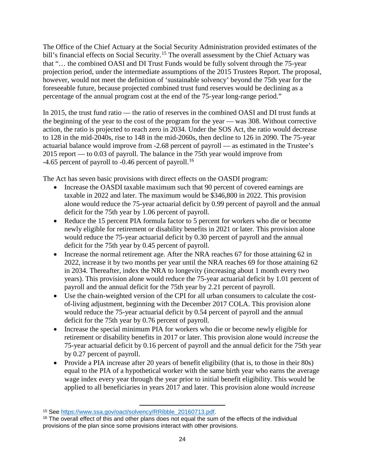The Office of the Chief Actuary at the Social Security Administration provided estimates of the bill's financial effects on Social Security.<sup>[15](#page-25-0)</sup> The overall assessment by the Chief Actuary was that "… the combined OASI and DI Trust Funds would be fully solvent through the 75-year projection period, under the intermediate assumptions of the 2015 Trustees Report. The proposal, however, would not meet the definition of 'sustainable solvency' beyond the 75th year for the foreseeable future, because projected combined trust fund reserves would be declining as a percentage of the annual program cost at the end of the 75-year long-range period."

In 2015, the trust fund ratio — the ratio of reserves in the combined OASI and DI trust funds at the beginning of the year to the cost of the program for the year — was 308. Without corrective action, the ratio is projected to reach zero in 2034. Under the SOS Act, the ratio would decrease to 128 in the mid-2040s, rise to 148 in the mid-2060s, then decline to 126 in 2090. The 75-year actuarial balance would improve from -2.68 percent of payroll — as estimated in the Trustee's 2015 report — to 0.03 of payroll. The balance in the 75th year would improve from -4.65 percent of payroll to -0.46 percent of payroll.<sup>[16](#page-25-1)</sup>

The Act has seven basic provisions with direct effects on the OASDI program:

- Increase the OASDI taxable maximum such that 90 percent of covered earnings are taxable in 2022 and later. The maximum would be \$346,800 in 2022. This provision alone would reduce the 75-year actuarial deficit by 0.99 percent of payroll and the annual deficit for the 75th year by 1.06 percent of payroll.
- Reduce the 15 percent PIA formula factor to 5 percent for workers who die or become newly eligible for retirement or disability benefits in 2021 or later. This provision alone would reduce the 75-year actuarial deficit by 0.30 percent of payroll and the annual deficit for the 75th year by 0.45 percent of payroll.
- Increase the normal retirement age. After the NRA reaches 67 for those attaining 62 in 2022, increase it by two months per year until the NRA reaches 69 for those attaining 62 in 2034. Thereafter, index the NRA to longevity (increasing about 1 month every two years). This provision alone would reduce the 75-year actuarial deficit by 1.01 percent of payroll and the annual deficit for the 75th year by 2.21 percent of payroll.
- Use the chain-weighted version of the CPI for all urban consumers to calculate the costof-living adjustment, beginning with the December 2017 COLA. This provision alone would reduce the 75-year actuarial deficit by 0.54 percent of payroll and the annual deficit for the 75th year by 0.76 percent of payroll.
- Increase the special minimum PIA for workers who die or become newly eligible for retirement or disability benefits in 2017 or later. This provision alone would *increase* the 75-year actuarial deficit by 0.16 percent of payroll and the annual deficit for the 75th year by 0.27 percent of payroll.
- Provide a PIA increase after 20 years of benefit eligibility (that is, to those in their 80s) equal to the PIA of a hypothetical worker with the same birth year who earns the average wage index every year through the year prior to initial benefit eligibility. This would be applied to all beneficiaries in years 2017 and later. This provision alone would *increase*

 $\overline{\phantom{a}}$ <sup>15</sup> See [https://www.ssa.gov/oact/solvency/RRibble\\_20160713.pdf.](https://www.ssa.gov/oact/solvency/RRibble_20160713.pdf)

<span id="page-25-1"></span><span id="page-25-0"></span><sup>&</sup>lt;sup>16</sup> The overall effect of this and other plans does not equal the sum of the effects of the individual provisions of the plan since some provisions interact with other provisions.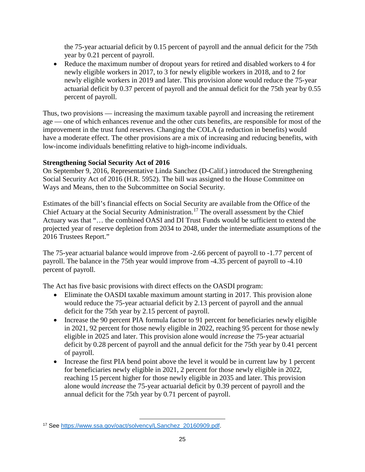the 75-year actuarial deficit by 0.15 percent of payroll and the annual deficit for the 75th year by 0.21 percent of payroll.

• Reduce the maximum number of dropout years for retired and disabled workers to 4 for newly eligible workers in 2017, to 3 for newly eligible workers in 2018, and to 2 for newly eligible workers in 2019 and later. This provision alone would reduce the 75-year actuarial deficit by 0.37 percent of payroll and the annual deficit for the 75th year by 0.55 percent of payroll.

Thus, two provisions — increasing the maximum taxable payroll and increasing the retirement age — one of which enhances revenue and the other cuts benefits, are responsible for most of the improvement in the trust fund reserves. Changing the COLA (a reduction in benefits) would have a moderate effect. The other provisions are a mix of increasing and reducing benefits, with low-income individuals benefitting relative to high-income individuals.

# **Strengthening Social Security Act of 2016**

On September 9, 2016, Representative Linda Sanchez (D-Calif.) introduced the Strengthening Social Security Act of 2016 (H.R. 5952). The bill was assigned to the House Committee on Ways and Means, then to the Subcommittee on Social Security.

Estimates of the bill's financial effects on Social Security are available from the Office of the Chief Actuary at the Social Security Administration.<sup>[17](#page-26-0)</sup> The overall assessment by the Chief Actuary was that "… the combined OASI and DI Trust Funds would be sufficient to extend the projected year of reserve depletion from 2034 to 2048, under the intermediate assumptions of the 2016 Trustees Report."

The 75-year actuarial balance would improve from -2.66 percent of payroll to -1.77 percent of payroll. The balance in the 75th year would improve from -4.35 percent of payroll to -4.10 percent of payroll.

The Act has five basic provisions with direct effects on the OASDI program:

- Eliminate the OASDI taxable maximum amount starting in 2017. This provision alone would reduce the 75-year actuarial deficit by 2.13 percent of payroll and the annual deficit for the 75th year by 2.15 percent of payroll.
- Increase the 90 percent PIA formula factor to 91 percent for beneficiaries newly eligible in 2021, 92 percent for those newly eligible in 2022, reaching 95 percent for those newly eligible in 2025 and later. This provision alone would *increase* the 75-year actuarial deficit by 0.28 percent of payroll and the annual deficit for the 75th year by 0.41 percent of payroll.
- Increase the first PIA bend point above the level it would be in current law by 1 percent for beneficiaries newly eligible in 2021, 2 percent for those newly eligible in 2022, reaching 15 percent higher for those newly eligible in 2035 and later. This provision alone would *increase* the 75-year actuarial deficit by 0.39 percent of payroll and the annual deficit for the 75th year by 0.71 percent of payroll.

<span id="page-26-0"></span>l <sup>17</sup> See [https://www.ssa.gov/oact/solvency/LSanchez\\_20160909.pdf.](https://www.ssa.gov/oact/solvency/LSanchez_20160909.pdf)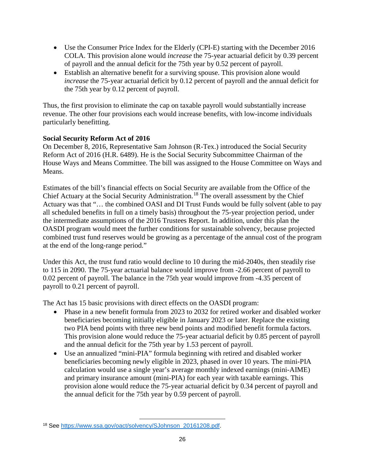- Use the Consumer Price Index for the Elderly (CPI-E) starting with the December 2016 COLA. This provision alone would *increase* the 75-year actuarial deficit by 0.39 percent of payroll and the annual deficit for the 75th year by 0.52 percent of payroll.
- Establish an alternative benefit for a surviving spouse. This provision alone would *increase* the 75-year actuarial deficit by 0.12 percent of payroll and the annual deficit for the 75th year by 0.12 percent of payroll.

Thus, the first provision to eliminate the cap on taxable payroll would substantially increase revenue. The other four provisions each would increase benefits, with low-income individuals particularly benefitting.

## **Social Security Reform Act of 2016**

On December 8, 2016, Representative Sam Johnson (R-Tex.) introduced the Social Security Reform Act of 2016 (H.R. 6489). He is the Social Security Subcommittee Chairman of the House Ways and Means Committee. The bill was assigned to the House Committee on Ways and Means.

Estimates of the bill's financial effects on Social Security are available from the Office of the Chief Actuary at the Social Security Administration.<sup>[18](#page-27-0)</sup> The overall assessment by the Chief Actuary was that "… the combined OASI and DI Trust Funds would be fully solvent (able to pay all scheduled benefits in full on a timely basis) throughout the 75-year projection period, under the intermediate assumptions of the 2016 Trustees Report. In addition, under this plan the OASDI program would meet the further conditions for sustainable solvency, because projected combined trust fund reserves would be growing as a percentage of the annual cost of the program at the end of the long-range period."

Under this Act, the trust fund ratio would decline to 10 during the mid-2040s, then steadily rise to 115 in 2090. The 75-year actuarial balance would improve from -2.66 percent of payroll to 0.02 percent of payroll. The balance in the 75th year would improve from -4.35 percent of payroll to 0.21 percent of payroll.

The Act has 15 basic provisions with direct effects on the OASDI program:

- Phase in a new benefit formula from 2023 to 2032 for retired worker and disabled worker beneficiaries becoming initially eligible in January 2023 or later. Replace the existing two PIA bend points with three new bend points and modified benefit formula factors. This provision alone would reduce the 75-year actuarial deficit by 0.85 percent of payroll and the annual deficit for the 75th year by 1.53 percent of payroll.
- Use an annualized "mini-PIA" formula beginning with retired and disabled worker beneficiaries becoming newly eligible in 2023, phased in over 10 years. The mini-PIA calculation would use a single year's average monthly indexed earnings (mini-AIME) and primary insurance amount (mini-PIA) for each year with taxable earnings. This provision alone would reduce the 75-year actuarial deficit by 0.34 percent of payroll and the annual deficit for the 75th year by 0.59 percent of payroll.

l

<span id="page-27-0"></span><sup>18</sup> See [https://www.ssa.gov/oact/solvency/SJohnson\\_20161208.pdf.](https://www.ssa.gov/oact/solvency/SJohnson_20161208.pdf)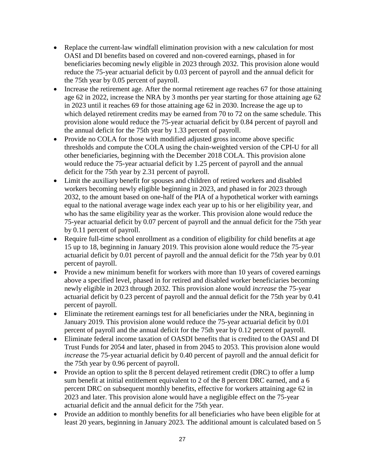- Replace the current-law windfall elimination provision with a new calculation for most OASI and DI benefits based on covered and non-covered earnings, phased in for beneficiaries becoming newly eligible in 2023 through 2032. This provision alone would reduce the 75-year actuarial deficit by 0.03 percent of payroll and the annual deficit for the 75th year by 0.05 percent of payroll.
- Increase the retirement age. After the normal retirement age reaches 67 for those attaining age 62 in 2022, increase the NRA by 3 months per year starting for those attaining age 62 in 2023 until it reaches 69 for those attaining age 62 in 2030. Increase the age up to which delayed retirement credits may be earned from 70 to 72 on the same schedule. This provision alone would reduce the 75-year actuarial deficit by 0.84 percent of payroll and the annual deficit for the 75th year by 1.33 percent of payroll.
- Provide no COLA for those with modified adjusted gross income above specific thresholds and compute the COLA using the chain-weighted version of the CPI-U for all other beneficiaries, beginning with the December 2018 COLA. This provision alone would reduce the 75-year actuarial deficit by 1.25 percent of payroll and the annual deficit for the 75th year by 2.31 percent of payroll.
- Limit the auxiliary benefit for spouses and children of retired workers and disabled workers becoming newly eligible beginning in 2023, and phased in for 2023 through 2032, to the amount based on one-half of the PIA of a hypothetical worker with earnings equal to the national average wage index each year up to his or her eligibility year, and who has the same eligibility year as the worker. This provision alone would reduce the 75-year actuarial deficit by 0.07 percent of payroll and the annual deficit for the 75th year by 0.11 percent of payroll.
- Require full-time school enrollment as a condition of eligibility for child benefits at age 15 up to 18, beginning in January 2019. This provision alone would reduce the 75-year actuarial deficit by 0.01 percent of payroll and the annual deficit for the 75th year by 0.01 percent of payroll.
- Provide a new minimum benefit for workers with more than 10 years of covered earnings above a specified level, phased in for retired and disabled worker beneficiaries becoming newly eligible in 2023 through 2032. This provision alone would *increase* the 75-year actuarial deficit by 0.23 percent of payroll and the annual deficit for the 75th year by 0.41 percent of payroll.
- Eliminate the retirement earnings test for all beneficiaries under the NRA, beginning in January 2019. This provision alone would reduce the 75-year actuarial deficit by 0.01 percent of payroll and the annual deficit for the 75th year by 0.12 percent of payroll.
- Eliminate federal income taxation of OASDI benefits that is credited to the OASI and DI Trust Funds for 2054 and later, phased in from 2045 to 2053. This provision alone would *increase* the 75-year actuarial deficit by 0.40 percent of payroll and the annual deficit for the 75th year by 0.96 percent of payroll.
- Provide an option to split the 8 percent delayed retirement credit (DRC) to offer a lump sum benefit at initial entitlement equivalent to 2 of the 8 percent DRC earned, and a 6 percent DRC on subsequent monthly benefits, effective for workers attaining age 62 in 2023 and later. This provision alone would have a negligible effect on the 75-year actuarial deficit and the annual deficit for the 75th year.
- Provide an addition to monthly benefits for all beneficiaries who have been eligible for at least 20 years, beginning in January 2023. The additional amount is calculated based on 5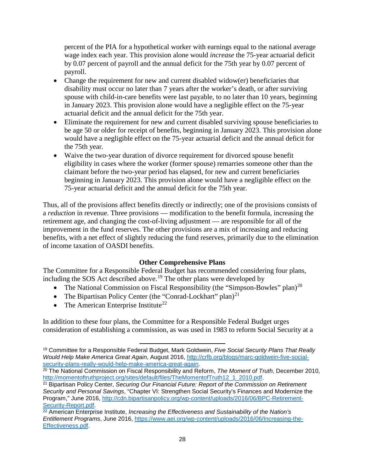percent of the PIA for a hypothetical worker with earnings equal to the national average wage index each year. This provision alone would *increase* the 75-year actuarial deficit by 0.07 percent of payroll and the annual deficit for the 75th year by 0.07 percent of payroll.

- Change the requirement for new and current disabled widow(er) beneficiaries that disability must occur no later than 7 years after the worker's death, or after surviving spouse with child-in-care benefits were last payable, to no later than 10 years, beginning in January 2023. This provision alone would have a negligible effect on the 75-year actuarial deficit and the annual deficit for the 75th year.
- Eliminate the requirement for new and current disabled surviving spouse beneficiaries to be age 50 or older for receipt of benefits, beginning in January 2023. This provision alone would have a negligible effect on the 75-year actuarial deficit and the annual deficit for the 75th year.
- Waive the two-year duration of divorce requirement for divorced spouse benefit eligibility in cases where the worker (former spouse) remarries someone other than the claimant before the two-year period has elapsed, for new and current beneficiaries beginning in January 2023. This provision alone would have a negligible effect on the 75-year actuarial deficit and the annual deficit for the 75th year.

Thus, all of the provisions affect benefits directly or indirectly; one of the provisions consists of a *reduction* in revenue. Three provisions — modification to the benefit formula, increasing the retirement age, and changing the cost-of-living adjustment — are responsible for all of the improvement in the fund reserves. The other provisions are a mix of increasing and reducing benefits, with a net effect of slightly reducing the fund reserves, primarily due to the elimination of income taxation of OASDI benefits.

## **Other Comprehensive Plans**

The Committee for a Responsible Federal Budget has recommended considering four plans, including the SOS Act described above.<sup>[19](#page-29-0)</sup> The other plans were developed by

- The National Commission on Fiscal Responsibility (the "Simpson-Bowles" plan)<sup>[20](#page-29-1)</sup>
- The Bipartisan Policy Center (the "Conrad-Lockhart" plan)<sup>[21](#page-29-2)</sup>

 $\overline{\phantom{a}}$ 

• The American Enterprise Institute<sup>[22](#page-29-3)</sup>

In addition to these four plans, the Committee for a Responsible Federal Budget urges consideration of establishing a commission, as was used in 1983 to reform Social Security at a

<span id="page-29-0"></span><sup>19</sup> Committee for a Responsible Federal Budget, Mark Goldwein, *Five Social Security Plans That Really Would Help Make America Great Again*, August 2016, [http://crfb.org/blogs/marc-goldwein-five-social](http://crfb.org/blogs/marc-goldwein-five-social-security-plans-really-would-help-make-america-great-again)[security-plans-really-would-help-make-america-great-again.](http://crfb.org/blogs/marc-goldwein-five-social-security-plans-really-would-help-make-america-great-again)

<span id="page-29-1"></span><sup>20</sup> The National Commission on Fiscal Responsibility and Reform, *The Moment of Truth*, December 2010, [http://momentoftruthproject.org/sites/default/files/TheMomentofTruth12\\_1\\_2010.pdf.](http://momentoftruthproject.org/sites/default/files/TheMomentofTruth12_1_2010.pdf)

<span id="page-29-2"></span><sup>21</sup> Bipartisan Policy Center, *Securing Our Financial Future: Report of the Commission on Retirement Security and Personal Savings*, "Chapter VI: Strengthen Social Security's Finances and Modernize the Program," June 2016, [http://cdn.bipartisanpolicy.org/wp-content/uploads/2016/06/BPC-Retirement-](http://cdn.bipartisanpolicy.org/wp-content/uploads/2016/06/BPC-Retirement-Security-Report.pdf)[Security-Report.pdf.](http://cdn.bipartisanpolicy.org/wp-content/uploads/2016/06/BPC-Retirement-Security-Report.pdf)

<span id="page-29-3"></span><sup>22</sup> American Enterprise Institute, *Increasing the Effectiveness and Sustainability of the Nation's Entitlement Programs*, June 2016, [https://www.aei.org/wp-content/uploads/2016/06/Increasing-the-](https://www.aei.org/wp-content/uploads/2016/06/Increasing-the-Effectiveness.pdf)[Effectiveness.pdf.](https://www.aei.org/wp-content/uploads/2016/06/Increasing-the-Effectiveness.pdf)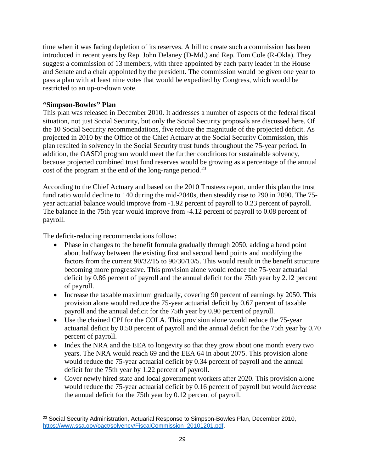time when it was facing depletion of its reserves. A bill to create such a commission has been introduced in recent years by Rep. John Delaney (D-Md.) and Rep. Tom Cole (R-Okla). They suggest a commission of 13 members, with three appointed by each party leader in the House and Senate and a chair appointed by the president. The commission would be given one year to pass a plan with at least nine votes that would be expedited by Congress, which would be restricted to an up-or-down vote.

### **"Simpson-Bowles" Plan**

This plan was released in December 2010. It addresses a number of aspects of the federal fiscal situation, not just Social Security, but only the Social Security proposals are discussed here. Of the 10 Social Security recommendations, five reduce the magnitude of the projected deficit. As projected in 2010 by the Office of the Chief Actuary at the Social Security Commission, this plan resulted in solvency in the Social Security trust funds throughout the 75-year period. In addition, the OASDI program would meet the further conditions for sustainable solvency, because projected combined trust fund reserves would be growing as a percentage of the annual cost of the program at the end of the long-range period.<sup>[23](#page-30-0)</sup>

According to the Chief Actuary and based on the 2010 Trustees report, under this plan the trust fund ratio would decline to 140 during the mid-2040s, then steadily rise to 290 in 2090. The 75 year actuarial balance would improve from -1.92 percent of payroll to 0.23 percent of payroll. The balance in the 75th year would improve from -4.12 percent of payroll to 0.08 percent of payroll.

The deficit-reducing recommendations follow:

- Phase in changes to the benefit formula gradually through 2050, adding a bend point about halfway between the existing first and second bend points and modifying the factors from the current 90/32/15 to 90/30/10/5. This would result in the benefit structure becoming more progressive. This provision alone would reduce the 75-year actuarial deficit by 0.86 percent of payroll and the annual deficit for the 75th year by 2.12 percent of payroll.
- Increase the taxable maximum gradually, covering 90 percent of earnings by 2050. This provision alone would reduce the 75-year actuarial deficit by 0.67 percent of taxable payroll and the annual deficit for the 75th year by 0.90 percent of payroll.
- Use the chained CPI for the COLA. This provision alone would reduce the 75-year actuarial deficit by 0.50 percent of payroll and the annual deficit for the 75th year by 0.70 percent of payroll.
- Index the NRA and the EEA to longevity so that they grow about one month every two years. The NRA would reach 69 and the EEA 64 in about 2075. This provision alone would reduce the 75-year actuarial deficit by 0.34 percent of payroll and the annual deficit for the 75th year by 1.22 percent of payroll.
- Cover newly hired state and local government workers after 2020. This provision alone would reduce the 75-year actuarial deficit by 0.16 percent of payroll but would *increase* the annual deficit for the 75th year by 0.12 percent of payroll.

<span id="page-30-0"></span>l <sup>23</sup> Social Security Administration, Actuarial Response to Simpson-Bowles Plan, December 2010, [https://www.ssa.gov/oact/solvency/FiscalCommission\\_20101201.pdf.](https://www.ssa.gov/oact/solvency/FiscalCommission_20101201.pdf)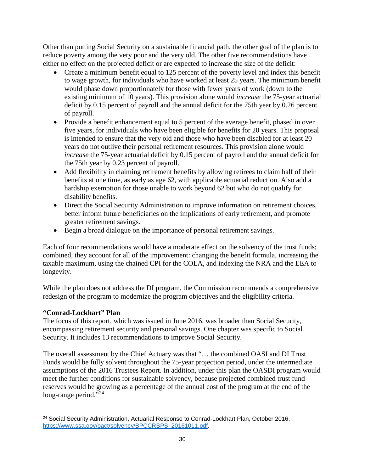Other than putting Social Security on a sustainable financial path, the other goal of the plan is to reduce poverty among the very poor and the very old. The other five recommendations have either no effect on the projected deficit or are expected to increase the size of the deficit:

- Create a minimum benefit equal to 125 percent of the poverty level and index this benefit to wage growth, for individuals who have worked at least 25 years. The minimum benefit would phase down proportionately for those with fewer years of work (down to the existing minimum of 10 years). This provision alone would *increase* the 75-year actuarial deficit by 0.15 percent of payroll and the annual deficit for the 75th year by 0.26 percent of payroll.
- Provide a benefit enhancement equal to 5 percent of the average benefit, phased in over five years, for individuals who have been eligible for benefits for 20 years. This proposal is intended to ensure that the very old and those who have been disabled for at least 20 years do not outlive their personal retirement resources. This provision alone would *increase* the 75-year actuarial deficit by 0.15 percent of payroll and the annual deficit for the 75th year by 0.23 percent of payroll.
- Add flexibility in claiming retirement benefits by allowing retirees to claim half of their benefits at one time, as early as age 62, with applicable actuarial reduction. Also add a hardship exemption for those unable to work beyond 62 but who do not qualify for disability benefits.
- Direct the Social Security Administration to improve information on retirement choices, better inform future beneficiaries on the implications of early retirement, and promote greater retirement savings.
- Begin a broad dialogue on the importance of personal retirement savings.

Each of four recommendations would have a moderate effect on the solvency of the trust funds; combined, they account for all of the improvement: changing the benefit formula, increasing the taxable maximum, using the chained CPI for the COLA, and indexing the NRA and the EEA to longevity.

While the plan does not address the DI program, the Commission recommends a comprehensive redesign of the program to modernize the program objectives and the eligibility criteria.

# **"Conrad-Lockhart" Plan**

The focus of this report, which was issued in June 2016, was broader than Social Security, encompassing retirement security and personal savings. One chapter was specific to Social Security. It includes 13 recommendations to improve Social Security.

The overall assessment by the Chief Actuary was that "… the combined OASI and DI Trust Funds would be fully solvent throughout the 75-year projection period, under the intermediate assumptions of the 2016 Trustees Report. In addition, under this plan the OASDI program would meet the further conditions for sustainable solvency, because projected combined trust fund reserves would be growing as a percentage of the annual cost of the program at the end of the long-range period."<sup>[24](#page-31-0)</sup>

<span id="page-31-0"></span>l <sup>24</sup> Social Security Administration, Actuarial Response to Conrad-Lockhart Plan, October 2016, [https://www.ssa.gov/oact/solvency/BPCCRSPS\\_20161011.pdf.](https://www.ssa.gov/oact/solvency/BPCCRSPS_20161011.pdf)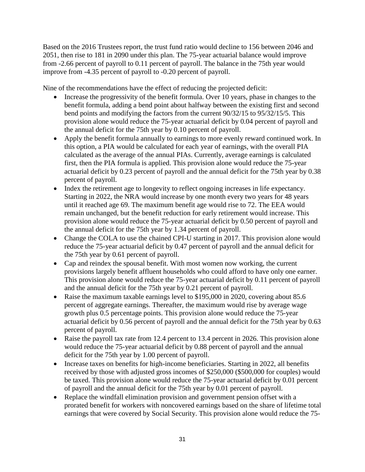Based on the 2016 Trustees report, the trust fund ratio would decline to 156 between 2046 and 2051, then rise to 181 in 2090 under this plan. The 75-year actuarial balance would improve from -2.66 percent of payroll to 0.11 percent of payroll. The balance in the 75th year would improve from -4.35 percent of payroll to -0.20 percent of payroll.

Nine of the recommendations have the effect of reducing the projected deficit:

- Increase the progressivity of the benefit formula. Over 10 years, phase in changes to the benefit formula, adding a bend point about halfway between the existing first and second bend points and modifying the factors from the current 90/32/15 to 95/32/15/5. This provision alone would reduce the 75-year actuarial deficit by 0.04 percent of payroll and the annual deficit for the 75th year by 0.10 percent of payroll.
- Apply the benefit formula annually to earnings to more evenly reward continued work. In this option, a PIA would be calculated for each year of earnings, with the overall PIA calculated as the average of the annual PIAs. Currently, average earnings is calculated first, then the PIA formula is applied. This provision alone would reduce the 75-year actuarial deficit by 0.23 percent of payroll and the annual deficit for the 75th year by 0.38 percent of payroll.
- Index the retirement age to longevity to reflect ongoing increases in life expectancy. Starting in 2022, the NRA would increase by one month every two years for 48 years until it reached age 69. The maximum benefit age would rise to 72. The EEA would remain unchanged, but the benefit reduction for early retirement would increase. This provision alone would reduce the 75-year actuarial deficit by 0.50 percent of payroll and the annual deficit for the 75th year by 1.34 percent of payroll.
- Change the COLA to use the chained CPI-U starting in 2017. This provision alone would reduce the 75-year actuarial deficit by 0.47 percent of payroll and the annual deficit for the 75th year by 0.61 percent of payroll.
- Cap and reindex the spousal benefit. With most women now working, the current provisions largely benefit affluent households who could afford to have only one earner. This provision alone would reduce the 75-year actuarial deficit by 0.11 percent of payroll and the annual deficit for the 75th year by 0.21 percent of payroll.
- Raise the maximum taxable earnings level to \$195,000 in 2020, covering about 85.6 percent of aggregate earnings. Thereafter, the maximum would rise by average wage growth plus 0.5 percentage points. This provision alone would reduce the 75-year actuarial deficit by 0.56 percent of payroll and the annual deficit for the 75th year by 0.63 percent of payroll.
- Raise the payroll tax rate from 12.4 percent to 13.4 percent in 2026. This provision alone would reduce the 75-year actuarial deficit by 0.88 percent of payroll and the annual deficit for the 75th year by 1.00 percent of payroll.
- Increase taxes on benefits for high-income beneficiaries. Starting in 2022, all benefits received by those with adjusted gross incomes of \$250,000 (\$500,000 for couples) would be taxed. This provision alone would reduce the 75-year actuarial deficit by 0.01 percent of payroll and the annual deficit for the 75th year by 0.01 percent of payroll.
- Replace the windfall elimination provision and government pension offset with a prorated benefit for workers with noncovered earnings based on the share of lifetime total earnings that were covered by Social Security. This provision alone would reduce the 75-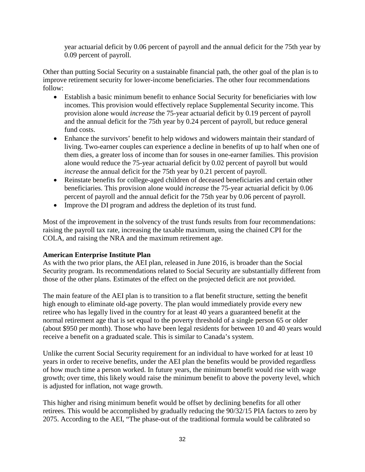year actuarial deficit by 0.06 percent of payroll and the annual deficit for the 75th year by 0.09 percent of payroll.

Other than putting Social Security on a sustainable financial path, the other goal of the plan is to improve retirement security for lower-income beneficiaries. The other four recommendations follow:

- Establish a basic minimum benefit to enhance Social Security for beneficiaries with low incomes. This provision would effectively replace Supplemental Security income. This provision alone would *increase* the 75-year actuarial deficit by 0.19 percent of payroll and the annual deficit for the 75th year by 0.24 percent of payroll, but reduce general fund costs.
- Enhance the survivors' benefit to help widows and widowers maintain their standard of living. Two-earner couples can experience a decline in benefits of up to half when one of them dies, a greater loss of income than for souses in one-earner families. This provision alone would reduce the 75-year actuarial deficit by 0.02 percent of payroll but would *increase* the annual deficit for the 75th year by 0.21 percent of payroll.
- Reinstate benefits for college-aged children of deceased beneficiaries and certain other beneficiaries. This provision alone would *increase* the 75-year actuarial deficit by 0.06 percent of payroll and the annual deficit for the 75th year by 0.06 percent of payroll.
- Improve the DI program and address the depletion of its trust fund.

Most of the improvement in the solvency of the trust funds results from four recommendations: raising the payroll tax rate, increasing the taxable maximum, using the chained CPI for the COLA, and raising the NRA and the maximum retirement age.

#### **American Enterprise Institute Plan**

As with the two prior plans, the AEI plan, released in June 2016, is broader than the Social Security program. Its recommendations related to Social Security are substantially different from those of the other plans. Estimates of the effect on the projected deficit are not provided.

The main feature of the AEI plan is to transition to a flat benefit structure, setting the benefit high enough to eliminate old-age poverty. The plan would immediately provide every new retiree who has legally lived in the country for at least 40 years a guaranteed benefit at the normal retirement age that is set equal to the poverty threshold of a single person 65 or older (about \$950 per month). Those who have been legal residents for between 10 and 40 years would receive a benefit on a graduated scale. This is similar to Canada's system.

Unlike the current Social Security requirement for an individual to have worked for at least 10 years in order to receive benefits, under the AEI plan the benefits would be provided regardless of how much time a person worked. In future years, the minimum benefit would rise with wage growth; over time, this likely would raise the minimum benefit to above the poverty level, which is adjusted for inflation, not wage growth.

This higher and rising minimum benefit would be offset by declining benefits for all other retirees. This would be accomplished by gradually reducing the 90/32/15 PIA factors to zero by 2075. According to the AEI, "The phase-out of the traditional formula would be calibrated so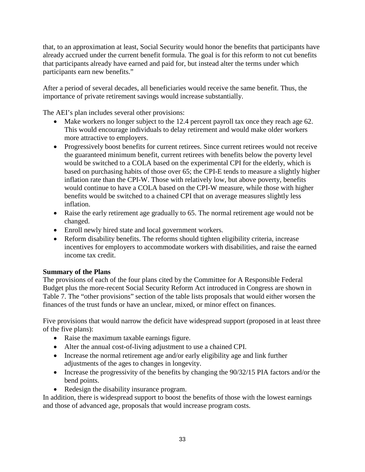that, to an approximation at least, Social Security would honor the benefits that participants have already accrued under the current benefit formula. The goal is for this reform to not cut benefits that participants already have earned and paid for, but instead alter the terms under which participants earn new benefits."

After a period of several decades, all beneficiaries would receive the same benefit. Thus, the importance of private retirement savings would increase substantially.

The AEI's plan includes several other provisions:

- Make workers no longer subject to the 12.4 percent payroll tax once they reach age 62. This would encourage individuals to delay retirement and would make older workers more attractive to employers.
- Progressively boost benefits for current retirees. Since current retirees would not receive the guaranteed minimum benefit, current retirees with benefits below the poverty level would be switched to a COLA based on the experimental CPI for the elderly, which is based on purchasing habits of those over 65; the CPI-E tends to measure a slightly higher inflation rate than the CPI-W. Those with relatively low, but above poverty, benefits would continue to have a COLA based on the CPI-W measure, while those with higher benefits would be switched to a chained CPI that on average measures slightly less inflation.
- Raise the early retirement age gradually to 65. The normal retirement age would not be changed.
- Enroll newly hired state and local government workers.
- Reform disability benefits. The reforms should tighten eligibility criteria, increase incentives for employers to accommodate workers with disabilities, and raise the earned income tax credit.

## **Summary of the Plans**

The provisions of each of the four plans cited by the Committee for A Responsible Federal Budget plus the more-recent Social Security Reform Act introduced in Congress are shown in Table 7. The "other provisions" section of the table lists proposals that would either worsen the finances of the trust funds or have an unclear, mixed, or minor effect on finances.

Five provisions that would narrow the deficit have widespread support (proposed in at least three of the five plans):

- Raise the maximum taxable earnings figure.
- Alter the annual cost-of-living adjustment to use a chained CPI.
- Increase the normal retirement age and/or early eligibility age and link further adjustments of the ages to changes in longevity.
- Increase the progressivity of the benefits by changing the 90/32/15 PIA factors and/or the bend points.
- Redesign the disability insurance program.

In addition, there is widespread support to boost the benefits of those with the lowest earnings and those of advanced age, proposals that would increase program costs.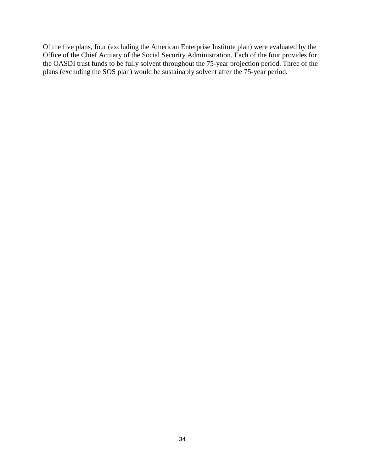Of the five plans, four (excluding the American Enterprise Institute plan) were evaluated by the Office of the Chief Actuary of the Social Security Administration. Each of the four provides for the OASDI trust funds to be fully solvent throughout the 75-year projection period. Three of the plans (excluding the SOS plan) would be sustainably solvent after the 75-year period.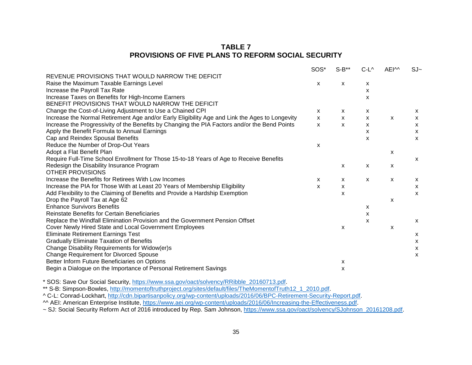## **TABLE 7 PROVISIONS OF FIVE PLANS TO REFORM SOCIAL SECURITY**

|                                                                                                | SOS*                      | $S-B**$      | $C-L^{\wedge}$ | AEI <sup>M</sup> | $SJ -$       |
|------------------------------------------------------------------------------------------------|---------------------------|--------------|----------------|------------------|--------------|
| REVENUE PROVISIONS THAT WOULD NARROW THE DEFICIT                                               |                           |              |                |                  |              |
| Raise the Maximum Taxable Earnings Level                                                       | X                         | x            | x              |                  |              |
| Increase the Payroll Tax Rate                                                                  |                           |              | X              |                  |              |
| Increase Taxes on Benefits for High-Income Earners                                             |                           |              | x              |                  |              |
| BENEFIT PROVISIONS THAT WOULD NARROW THE DEFICIT                                               |                           |              |                |                  |              |
| Change the Cost-of-Living Adjustment to Use a Chained CPI                                      | X                         | x            | x              |                  | X            |
| Increase the Normal Retirement Age and/or Early Eligibility Age and Link the Ages to Longevity | X                         | $\mathsf{x}$ | X              | $\mathsf{x}$     | X            |
| Increase the Progressivity of the Benefits by Changing the PIA Factors and/or the Bend Points  | $\mathsf{x}$              | $\mathsf{x}$ | X              |                  | X            |
| Apply the Benefit Formula to Annual Earnings                                                   |                           |              | X              |                  | X            |
| Cap and Reindex Spousal Benefits                                                               |                           |              | X              |                  | $\mathsf{x}$ |
| Reduce the Number of Drop-Out Years                                                            | X                         |              |                |                  |              |
| Adopt a Flat Benefit Plan                                                                      |                           |              |                | X                |              |
| Require Full-Time School Enrollment for Those 15-to-18 Years of Age to Receive Benefits        |                           |              |                |                  | $\mathsf{x}$ |
| Redesign the Disability Insurance Program                                                      |                           | X            | X              | X                |              |
| <b>OTHER PROVISIONS</b>                                                                        |                           |              |                |                  |              |
| Increase the Benefits for Retirees With Low Incomes                                            | $\boldsymbol{\mathsf{x}}$ | x            | X              | $\mathsf{x}$     | X            |
| Increase the PIA for Those With at Least 20 Years of Membership Eligibility                    | X                         | X            |                |                  | X            |
| Add Flexibility to the Claiming of Benefits and Provide a Hardship Exemption                   |                           | X            |                |                  | $\mathsf{x}$ |
| Drop the Payroll Tax at Age 62                                                                 |                           |              |                | X                |              |
| <b>Enhance Survivors Benefits</b>                                                              |                           |              | x              |                  |              |
| Reinstate Benefits for Certain Beneficiaries                                                   |                           |              | x              |                  |              |
| Replace the Windfall Elimination Provision and the Government Pension Offset                   |                           |              | x              |                  | X            |
| Cover Newly Hired State and Local Government Employees                                         |                           | X            |                | X                |              |
| <b>Eliminate Retirement Earnings Test</b>                                                      |                           |              |                |                  | X            |
| <b>Gradually Eliminate Taxation of Benefits</b>                                                |                           |              |                |                  | X            |
| Change Disability Requirements for Widow(er)s                                                  |                           |              |                |                  | X            |
| <b>Change Requirement for Divorced Spouse</b>                                                  |                           |              |                |                  | X            |
| Better Inform Future Beneficiaries on Options                                                  |                           | X            |                |                  |              |
| Begin a Dialogue on the Importance of Personal Retirement Savings                              |                           | x            |                |                  |              |

\* SOS: Save Our Social Security, [https://www.ssa.gov/oact/solvency/RRibble\\_20160713.pdf.](https://www.ssa.gov/oact/solvency/RRibble_20160713.pdf)

\*\* S-B: Simpson-Bowles, [http://momentoftruthproject.org/sites/default/files/TheMomentofTruth12\\_1\\_2010.pdf.](http://momentoftruthproject.org/sites/default/files/TheMomentofTruth12_1_2010.pdf)

^ C-L: Conrad-Lockhart, [http://cdn.bipartisanpolicy.org/wp-content/uploads/2016/06/BPC-Retirement-Security-Report.pdf.](http://cdn.bipartisanpolicy.org/wp-content/uploads/2016/06/BPC-Retirement-Security-Report.pdf)

^^ AEI: American Enterprise Institute, [https://www.aei.org/wp-content/uploads/2016/06/Increasing-the-Effectiveness.pdf.](https://www.aei.org/wp-content/uploads/2016/06/Increasing-the-Effectiveness.pdf)

~ SJ: Social Security Reform Act of 2016 introduced by Rep. Sam Johnson, [https://www.ssa.gov/oact/solvency/SJohnson\\_20161208.pdf.](https://www.ssa.gov/oact/solvency/SJohnson_20161208.pdf)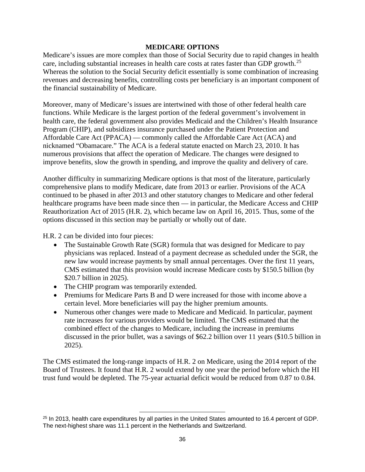#### **MEDICARE OPTIONS**

Medicare's issues are more complex than those of Social Security due to rapid changes in health care, including substantial increases in health care costs at rates faster than GDP growth.<sup>[25](#page-37-0)</sup> Whereas the solution to the Social Security deficit essentially is some combination of increasing revenues and decreasing benefits, controlling costs per beneficiary is an important component of the financial sustainability of Medicare.

Moreover, many of Medicare's issues are intertwined with those of other federal health care functions. While Medicare is the largest portion of the federal government's involvement in health care, the federal government also provides Medicaid and the Children's Health Insurance Program (CHIP), and subsidizes insurance purchased under the Patient Protection and Affordable Care Act (PPACA) — commonly called the Affordable Care Act (ACA) and nicknamed "Obamacare." The ACA is a federal statute enacted on March 23, 2010. It has numerous provisions that affect the operation of Medicare. The changes were designed to improve benefits, slow the growth in spending, and improve the quality and delivery of care.

Another difficulty in summarizing Medicare options is that most of the literature, particularly comprehensive plans to modify Medicare, date from 2013 or earlier. Provisions of the ACA continued to be phased in after 2013 and other statutory changes to Medicare and other federal healthcare programs have been made since then — in particular, the Medicare Access and CHIP Reauthorization Act of 2015 (H.R. 2), which became law on April 16, 2015. Thus, some of the options discussed in this section may be partially or wholly out of date.

H.R. 2 can be divided into four pieces:

- The Sustainable Growth Rate (SGR) formula that was designed for Medicare to pay physicians was replaced. Instead of a payment decrease as scheduled under the SGR, the new law would increase payments by small annual percentages. Over the first 11 years, CMS estimated that this provision would increase Medicare costs by \$150.5 billion (by \$20.7 billion in 2025).
- The CHIP program was temporarily extended.

l

- Premiums for Medicare Parts B and D were increased for those with income above a certain level. More beneficiaries will pay the higher premium amounts.
- Numerous other changes were made to Medicare and Medicaid. In particular, payment rate increases for various providers would be limited. The CMS estimated that the combined effect of the changes to Medicare, including the increase in premiums discussed in the prior bullet, was a savings of \$62.2 billion over 11 years (\$10.5 billion in 2025).

The CMS estimated the long-range impacts of H.R. 2 on Medicare, using the 2014 report of the Board of Trustees. It found that H.R. 2 would extend by one year the period before which the HI trust fund would be depleted. The 75-year actuarial deficit would be reduced from 0.87 to 0.84.

<span id="page-37-0"></span><sup>&</sup>lt;sup>25</sup> In 2013, health care expenditures by all parties in the United States amounted to 16.4 percent of GDP. The next-highest share was 11.1 percent in the Netherlands and Switzerland.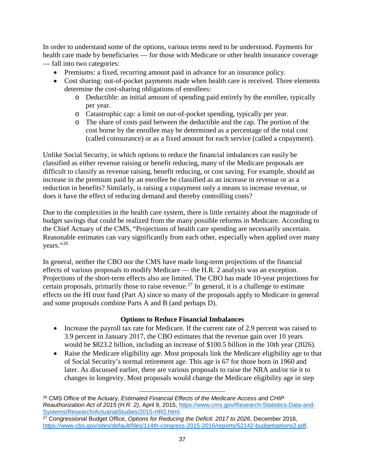In order to understand some of the options, various terms need to be understood. Payments for health care made by beneficiaries — for those with Medicare or other health insurance coverage — fall into two categories:

- Premiums: a fixed, recurring amount paid in advance for an insurance policy.
- Cost sharing: out-of-pocket payments made when health care is received. Three elements determine the cost-sharing obligations of enrollees:
	- o Deductible: an initial amount of spending paid entirely by the enrollee, typically per year.
	- o Catastrophic cap: a limit on out-of-pocket spending, typically per year.
	- o The share of costs paid between the deductible and the cap. The portion of the cost borne by the enrollee may be determined as a percentage of the total cost (called coinsurance) or as a fixed amount for each service (called a copayment).

Unlike Social Security, in which options to reduce the financial imbalances can easily be classified as either revenue raising or benefit reducing, many of the Medicare proposals are difficult to classify as revenue raising, benefit reducing, or cost saving. For example, should an increase in the premium paid by an enrollee be classified as an increase in revenue or as a reduction in benefits? Similarly, is raising a copayment only a means to increase revenue, or does it have the effect of reducing demand and thereby controlling costs?

Due to the complexities in the health care system, there is little certainty about the magnitude of budget savings that could be realized from the many possible reforms in Medicare. According to the Chief Actuary of the CMS, "Projections of health care spending are necessarily uncertain. Reasonable estimates can vary significantly from each other, especially when applied over many years."[26](#page-38-0)

In general, neither the CBO nor the CMS have made long-term projections of the financial effects of various proposals to modify Medicare — the H.R. 2 analysis was an exception. Projections of the short-term effects also are limited. The CBO has made 10-year projections for certain proposals, primarily those to raise revenue.<sup>[27](#page-38-1)</sup> In general, it is a challenge to estimate effects on the HI trust fund (Part A) since so many of the proposals apply to Medicare in general and some proposals combine Parts A and B (and perhaps D).

## **Options to Reduce Financial Imbalances**

- Increase the payroll tax rate for Medicare. If the current rate of 2.9 percent was raised to 3.9 percent in January 2017, the CBO estimates that the revenue gain over 10 years would be \$823.2 billion, including an increase of \$100.5 billion in the 10th year (2026).
- Raise the Medicare eligibility age. Most proposals link the Medicare eligibility age to that of Social Security's normal retirement age. This age is 67 for those born in 1960 and later. As discussed earlier, there are various proposals to raise the NRA and/or tie it to changes in longevity. Most proposals would change the Medicare eligibility age in step

 $\overline{\phantom{a}}$ 

<span id="page-38-0"></span><sup>26</sup> CMS Office of the Actuary, *Estimated Financial Effects of the Medicare Access and CHIP Reauthorization Act of 2015 (H.R. 2)*, April 9, 2015, [https://www.cms.gov/Research-Statistics-Data-and-](https://www.cms.gov/Research-Statistics-Data-and-Systems/Research/ActuarialStudies/2015-HR2.html)[Systems/Research/ActuarialStudies/2015-HR2.html.](https://www.cms.gov/Research-Statistics-Data-and-Systems/Research/ActuarialStudies/2015-HR2.html)

<span id="page-38-1"></span><sup>27</sup> Congressional Budget Office, *Options for Reducing the Deficit: 2017 to 2026*, December 2016, [https://www.cbo.gov/sites/default/files/114th-congress-2015-2016/reports/52142-budgetoptions2.pdf.](https://www.cbo.gov/sites/default/files/114th-congress-2015-2016/reports/52142-budgetoptions2.pdf)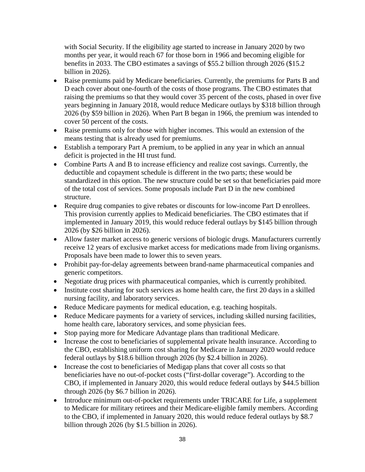with Social Security. If the eligibility age started to increase in January 2020 by two months per year, it would reach 67 for those born in 1966 and becoming eligible for benefits in 2033. The CBO estimates a savings of \$55.2 billion through 2026 (\$15.2 billion in 2026).

- Raise premiums paid by Medicare beneficiaries. Currently, the premiums for Parts B and D each cover about one-fourth of the costs of those programs. The CBO estimates that raising the premiums so that they would cover 35 percent of the costs, phased in over five years beginning in January 2018, would reduce Medicare outlays by \$318 billion through 2026 (by \$59 billion in 2026). When Part B began in 1966, the premium was intended to cover 50 percent of the costs.
- Raise premiums only for those with higher incomes. This would an extension of the means testing that is already used for premiums.
- Establish a temporary Part A premium, to be applied in any year in which an annual deficit is projected in the HI trust fund.
- Combine Parts A and B to increase efficiency and realize cost savings. Currently, the deductible and copayment schedule is different in the two parts; these would be standardized in this option. The new structure could be set so that beneficiaries paid more of the total cost of services. Some proposals include Part D in the new combined structure.
- Require drug companies to give rebates or discounts for low-income Part D enrollees. This provision currently applies to Medicaid beneficiaries. The CBO estimates that if implemented in January 2019, this would reduce federal outlays by \$145 billion through 2026 (by \$26 billion in 2026).
- Allow faster market access to generic versions of biologic drugs. Manufacturers currently receive 12 years of exclusive market access for medications made from living organisms. Proposals have been made to lower this to seven years.
- Prohibit pay-for-delay agreements between brand-name pharmaceutical companies and generic competitors.
- Negotiate drug prices with pharmaceutical companies, which is currently prohibited.
- Institute cost sharing for such services as home health care, the first 20 days in a skilled nursing facility, and laboratory services.
- Reduce Medicare payments for medical education, e.g. teaching hospitals.
- Reduce Medicare payments for a variety of services, including skilled nursing facilities, home health care, laboratory services, and some physician fees.
- Stop paying more for Medicare Advantage plans than traditional Medicare.
- Increase the cost to beneficiaries of supplemental private health insurance. According to the CBO, establishing uniform cost sharing for Medicare in January 2020 would reduce federal outlays by \$18.6 billion through 2026 (by \$2.4 billion in 2026).
- Increase the cost to beneficiaries of Medigap plans that cover all costs so that beneficiaries have no out-of-pocket costs ("first-dollar coverage"). According to the CBO, if implemented in January 2020, this would reduce federal outlays by \$44.5 billion through 2026 (by \$6.7 billion in 2026).
- Introduce minimum out-of-pocket requirements under TRICARE for Life, a supplement to Medicare for military retirees and their Medicare-eligible family members. According to the CBO, if implemented in January 2020, this would reduce federal outlays by \$8.7 billion through 2026 (by \$1.5 billion in 2026).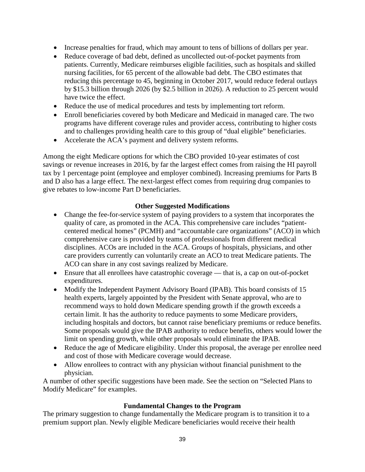- Increase penalties for fraud, which may amount to tens of billions of dollars per year.
- Reduce coverage of bad debt, defined as uncollected out-of-pocket payments from patients. Currently, Medicare reimburses eligible facilities, such as hospitals and skilled nursing facilities, for 65 percent of the allowable bad debt. The CBO estimates that reducing this percentage to 45, beginning in October 2017, would reduce federal outlays by \$15.3 billion through 2026 (by \$2.5 billion in 2026). A reduction to 25 percent would have twice the effect.
- Reduce the use of medical procedures and tests by implementing tort reform.
- Enroll beneficiaries covered by both Medicare and Medicaid in managed care. The two programs have different coverage rules and provider access, contributing to higher costs and to challenges providing health care to this group of "dual eligible" beneficiaries.
- Accelerate the ACA's payment and delivery system reforms.

Among the eight Medicare options for which the CBO provided 10-year estimates of cost savings or revenue increases in 2016, by far the largest effect comes from raising the HI payroll tax by 1 percentage point (employee and employer combined). Increasing premiums for Parts B and D also has a large effect. The next-largest effect comes from requiring drug companies to give rebates to low-income Part D beneficiaries.

### **Other Suggested Modifications**

- Change the fee-for-service system of paying providers to a system that incorporates the quality of care, as promoted in the ACA. This comprehensive care includes "patientcentered medical homes" (PCMH) and "accountable care organizations" (ACO) in which comprehensive care is provided by teams of professionals from different medical disciplines. ACOs are included in the ACA. Groups of hospitals, physicians, and other care providers currently can voluntarily create an ACO to treat Medicare patients. The ACO can share in any cost savings realized by Medicare.
- Ensure that all enrollees have catastrophic coverage that is, a cap on out-of-pocket expenditures.
- Modify the Independent Payment Advisory Board (IPAB). This board consists of 15 health experts, largely appointed by the President with Senate approval, who are to recommend ways to hold down Medicare spending growth if the growth exceeds a certain limit. It has the authority to reduce payments to some Medicare providers, including hospitals and doctors, but cannot raise beneficiary premiums or reduce benefits. Some proposals would give the IPAB authority to reduce benefits, others would lower the limit on spending growth, while other proposals would eliminate the IPAB.
- Reduce the age of Medicare eligibility. Under this proposal, the average per enrollee need and cost of those with Medicare coverage would decrease.
- Allow enrollees to contract with any physician without financial punishment to the physician.

A number of other specific suggestions have been made. See the section on "Selected Plans to Modify Medicare" for examples.

#### **Fundamental Changes to the Program**

The primary suggestion to change fundamentally the Medicare program is to transition it to a premium support plan. Newly eligible Medicare beneficiaries would receive their health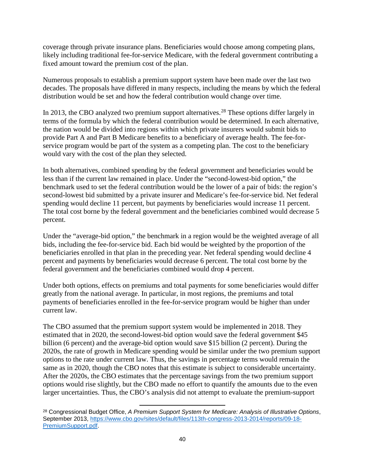coverage through private insurance plans. Beneficiaries would choose among competing plans, likely including traditional fee-for-service Medicare, with the federal government contributing a fixed amount toward the premium cost of the plan.

Numerous proposals to establish a premium support system have been made over the last two decades. The proposals have differed in many respects, including the means by which the federal distribution would be set and how the federal contribution would change over time.

In 2013, the CBO analyzed two premium support alternatives.<sup>[28](#page-41-0)</sup> These options differ largely in terms of the formula by which the federal contribution would be determined. In each alternative, the nation would be divided into regions within which private insurers would submit bids to provide Part A and Part B Medicare benefits to a beneficiary of average health. The fee-forservice program would be part of the system as a competing plan. The cost to the beneficiary would vary with the cost of the plan they selected.

In both alternatives, combined spending by the federal government and beneficiaries would be less than if the current law remained in place. Under the "second-lowest-bid option," the benchmark used to set the federal contribution would be the lower of a pair of bids: the region's second-lowest bid submitted by a private insurer and Medicare's fee-for-service bid. Net federal spending would decline 11 percent, but payments by beneficiaries would increase 11 percent. The total cost borne by the federal government and the beneficiaries combined would decrease 5 percent.

Under the "average-bid option," the benchmark in a region would be the weighted average of all bids, including the fee-for-service bid. Each bid would be weighted by the proportion of the beneficiaries enrolled in that plan in the preceding year. Net federal spending would decline 4 percent and payments by beneficiaries would decrease 6 percent. The total cost borne by the federal government and the beneficiaries combined would drop 4 percent.

Under both options, effects on premiums and total payments for some beneficiaries would differ greatly from the national average. In particular, in most regions, the premiums and total payments of beneficiaries enrolled in the fee-for-service program would be higher than under current law.

The CBO assumed that the premium support system would be implemented in 2018. They estimated that in 2020, the second-lowest-bid option would save the federal government \$45 billion (6 percent) and the average-bid option would save \$15 billion (2 percent). During the 2020s, the rate of growth in Medicare spending would be similar under the two premium support options to the rate under current law. Thus, the savings in percentage terms would remain the same as in 2020, though the CBO notes that this estimate is subject to considerable uncertainty. After the 2020s, the CBO estimates that the percentage savings from the two premium support options would rise slightly, but the CBO made no effort to quantify the amounts due to the even larger uncertainties. Thus, the CBO's analysis did not attempt to evaluate the premium-support

<span id="page-41-0"></span> $\overline{\phantom{a}}$ <sup>28</sup> Congressional Budget Office, *A Premium Support System for Medicare: Analysis of Illustrative Options*, September 2013, [https://www.cbo.gov/sites/default/files/113th-congress-2013-2014/reports/09-18-](https://www.cbo.gov/sites/default/files/113th-congress-2013-2014/reports/09-18-PremiumSupport.pdf) [PremiumSupport.pdf.](https://www.cbo.gov/sites/default/files/113th-congress-2013-2014/reports/09-18-PremiumSupport.pdf)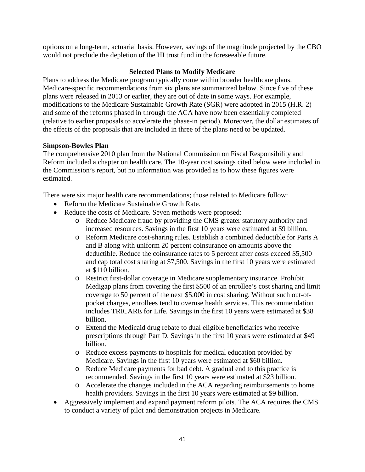options on a long-term, actuarial basis. However, savings of the magnitude projected by the CBO would not preclude the depletion of the HI trust fund in the foreseeable future.

# **Selected Plans to Modify Medicare**

Plans to address the Medicare program typically come within broader healthcare plans. Medicare-specific recommendations from six plans are summarized below. Since five of these plans were released in 2013 or earlier, they are out of date in some ways. For example, modifications to the Medicare Sustainable Growth Rate (SGR) were adopted in 2015 (H.R. 2) and some of the reforms phased in through the ACA have now been essentially completed (relative to earlier proposals to accelerate the phase-in period). Moreover, the dollar estimates of the effects of the proposals that are included in three of the plans need to be updated.

# **Simpson-Bowles Plan**

The comprehensive 2010 plan from the National Commission on Fiscal Responsibility and Reform included a chapter on health care. The 10-year cost savings cited below were included in the Commission's report, but no information was provided as to how these figures were estimated.

There were six major health care recommendations; those related to Medicare follow:

- Reform the Medicare Sustainable Growth Rate.
- Reduce the costs of Medicare. Seven methods were proposed:
	- o Reduce Medicare fraud by providing the CMS greater statutory authority and increased resources. Savings in the first 10 years were estimated at \$9 billion.
	- o Reform Medicare cost-sharing rules. Establish a combined deductible for Parts A and B along with uniform 20 percent coinsurance on amounts above the deductible. Reduce the coinsurance rates to 5 percent after costs exceed \$5,500 and cap total cost sharing at \$7,500. Savings in the first 10 years were estimated at \$110 billion.
	- o Restrict first-dollar coverage in Medicare supplementary insurance. Prohibit Medigap plans from covering the first \$500 of an enrollee's cost sharing and limit coverage to 50 percent of the next \$5,000 in cost sharing. Without such out-ofpocket charges, enrollees tend to overuse health services. This recommendation includes TRICARE for Life. Savings in the first 10 years were estimated at \$38 billion.
	- o Extend the Medicaid drug rebate to dual eligible beneficiaries who receive prescriptions through Part D. Savings in the first 10 years were estimated at \$49 billion.
	- o Reduce excess payments to hospitals for medical education provided by Medicare. Savings in the first 10 years were estimated at \$60 billion.
	- o Reduce Medicare payments for bad debt. A gradual end to this practice is recommended. Savings in the first 10 years were estimated at \$23 billion.
	- o Accelerate the changes included in the ACA regarding reimbursements to home health providers. Savings in the first 10 years were estimated at \$9 billion.
- Aggressively implement and expand payment reform pilots. The ACA requires the CMS to conduct a variety of pilot and demonstration projects in Medicare.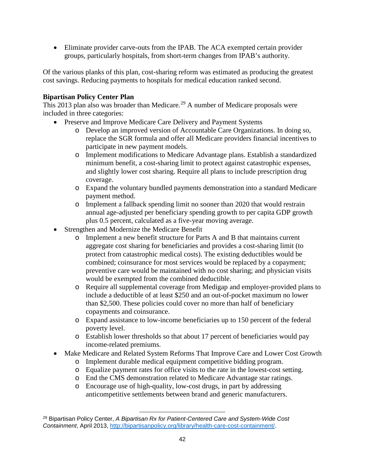• Eliminate provider carve-outs from the IPAB. The ACA exempted certain provider groups, particularly hospitals, from short-term changes from IPAB's authority.

Of the various planks of this plan, cost-sharing reform was estimated as producing the greatest cost savings. Reducing payments to hospitals for medical education ranked second.

# **Bipartisan Policy Center Plan**

This 2013 plan also was broader than Medicare.<sup>[29](#page-43-0)</sup> A number of Medicare proposals were included in three categories:

- Preserve and Improve Medicare Care Delivery and Payment Systems
	- o Develop an improved version of Accountable Care Organizations. In doing so, replace the SGR formula and offer all Medicare providers financial incentives to participate in new payment models.
	- o Implement modifications to Medicare Advantage plans. Establish a standardized minimum benefit, a cost-sharing limit to protect against catastrophic expenses, and slightly lower cost sharing. Require all plans to include prescription drug coverage.
	- o Expand the voluntary bundled payments demonstration into a standard Medicare payment method.
	- o Implement a fallback spending limit no sooner than 2020 that would restrain annual age-adjusted per beneficiary spending growth to per capita GDP growth plus 0.5 percent, calculated as a five-year moving average.
- Strengthen and Modernize the Medicare Benefit
	- o Implement a new benefit structure for Parts A and B that maintains current aggregate cost sharing for beneficiaries and provides a cost-sharing limit (to protect from catastrophic medical costs). The existing deductibles would be combined; coinsurance for most services would be replaced by a copayment; preventive care would be maintained with no cost sharing; and physician visits would be exempted from the combined deductible.
	- o Require all supplemental coverage from Medigap and employer-provided plans to include a deductible of at least \$250 and an out-of-pocket maximum no lower than \$2,500. These policies could cover no more than half of beneficiary copayments and coinsurance.
	- o Expand assistance to low-income beneficiaries up to 150 percent of the federal poverty level.
	- o Establish lower thresholds so that about 17 percent of beneficiaries would pay income-related premiums.
- Make Medicare and Related System Reforms That Improve Care and Lower Cost Growth
	- o Implement durable medical equipment competitive bidding program.
	- o Equalize payment rates for office visits to the rate in the lowest-cost setting.
	- o End the CMS demonstration related to Medicare Advantage star ratings.
	- o Encourage use of high-quality, low-cost drugs, in part by addressing anticompetitive settlements between brand and generic manufacturers.

<span id="page-43-0"></span>l <sup>29</sup> Bipartisan Policy Center, *A Bipartisan Rx for Patient-Centered Care and System-Wide Cost Containment*, April 2013, [http://bipartisanpolicy.org/library/health-care-cost-containment/.](http://bipartisanpolicy.org/library/health-care-cost-containment/)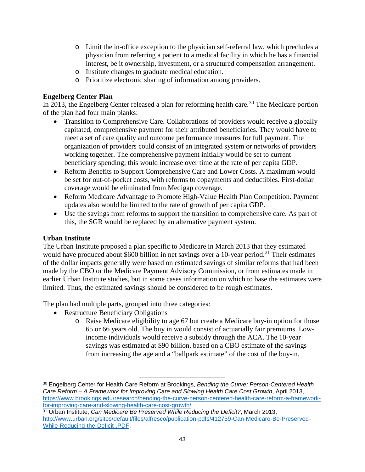- o Limit the in-office exception to the physician self-referral law, which precludes a physician from referring a patient to a medical facility in which he has a financial interest, be it ownership, investment, or a structured compensation arrangement.
- o Institute changes to graduate medical education.
- o Prioritize electronic sharing of information among providers.

# **Engelberg Center Plan**

In 2013, the Engelberg Center released a plan for reforming health care.<sup>[30](#page-44-0)</sup> The Medicare portion of the plan had four main planks:

- Transition to Comprehensive Care. Collaborations of providers would receive a globally capitated, comprehensive payment for their attributed beneficiaries. They would have to meet a set of care quality and outcome performance measures for full payment. The organization of providers could consist of an integrated system or networks of providers working together. The comprehensive payment initially would be set to current beneficiary spending; this would increase over time at the rate of per capita GDP.
- Reform Benefits to Support Comprehensive Care and Lower Costs. A maximum would be set for out-of-pocket costs, with reforms to copayments and deductibles. First-dollar coverage would be eliminated from Medigap coverage.
- Reform Medicare Advantage to Promote High-Value Health Plan Competition. Payment updates also would be limited to the rate of growth of per capita GDP.
- Use the savings from reforms to support the transition to comprehensive care. As part of this, the SGR would be replaced by an alternative payment system.

## **Urban Institute**

The Urban Institute proposed a plan specific to Medicare in March 2013 that they estimated would have produced about \$600 billion in net savings over a 10-year period.<sup>[31](#page-44-1)</sup> Their estimates of the dollar impacts generally were based on estimated savings of similar reforms that had been made by the CBO or the Medicare Payment Advisory Commission, or from estimates made in earlier Urban Institute studies, but in some cases information on which to base the estimates were limited. Thus, the estimated savings should be considered to be rough estimates.

The plan had multiple parts, grouped into three categories:

l

- Restructure Beneficiary Obligations
	- o Raise Medicare eligibility to age 67 but create a Medicare buy-in option for those 65 or 66 years old. The buy in would consist of actuarially fair premiums. Lowincome individuals would receive a subsidy through the ACA. The 10-year savings was estimated at \$90 billion, based on a CBO estimate of the savings from increasing the age and a "ballpark estimate" of the cost of the buy-in.

<span id="page-44-0"></span><sup>30</sup> Engelberg Center for Health Care Reform at Brookings, *Bending the Curve: Person-Centered Health Care Reform – A Framework for Improving Care and Slowing Health Care Cost Growth*, April 2013, [https://www.brookings.edu/research/bending-the-curve-person-centered-health-care-reform-a-framework](https://www.brookings.edu/research/bending-the-curve-person-centered-health-care-reform-a-framework-for-improving-care-and-slowing-health-care-cost-growth/)[for-improving-care-and-slowing-health-care-cost-growth/.](https://www.brookings.edu/research/bending-the-curve-person-centered-health-care-reform-a-framework-for-improving-care-and-slowing-health-care-cost-growth/)

<span id="page-44-1"></span><sup>31</sup> Urban Institute, *Can Medicare Be Preserved While Reducing the Deficit?*, March 2013, [http://www.urban.org/sites/default/files/alfresco/publication-pdfs/412759-Can-Medicare-Be-Preserved-](http://www.urban.org/sites/default/files/alfresco/publication-pdfs/412759-Can-Medicare-Be-Preserved-While-Reducing-the-Deficit-.PDF)[While-Reducing-the-Deficit-.PDF.](http://www.urban.org/sites/default/files/alfresco/publication-pdfs/412759-Can-Medicare-Be-Preserved-While-Reducing-the-Deficit-.PDF)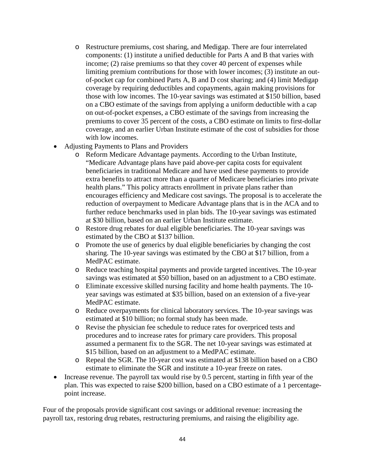- o Restructure premiums, cost sharing, and Medigap. There are four interrelated components: (1) institute a unified deductible for Parts A and B that varies with income; (2) raise premiums so that they cover 40 percent of expenses while limiting premium contributions for those with lower incomes; (3) institute an outof-pocket cap for combined Parts A, B and D cost sharing; and (4) limit Medigap coverage by requiring deductibles and copayments, again making provisions for those with low incomes. The 10-year savings was estimated at \$150 billion, based on a CBO estimate of the savings from applying a uniform deductible with a cap on out-of-pocket expenses, a CBO estimate of the savings from increasing the premiums to cover 35 percent of the costs, a CBO estimate on limits to first-dollar coverage, and an earlier Urban Institute estimate of the cost of subsidies for those with low incomes.
- Adjusting Payments to Plans and Providers
	- o Reform Medicare Advantage payments. According to the Urban Institute, "Medicare Advantage plans have paid above-per capita costs for equivalent beneficiaries in traditional Medicare and have used these payments to provide extra benefits to attract more than a quarter of Medicare beneficiaries into private health plans." This policy attracts enrollment in private plans rather than encourages efficiency and Medicare cost savings. The proposal is to accelerate the reduction of overpayment to Medicare Advantage plans that is in the ACA and to further reduce benchmarks used in plan bids. The 10-year savings was estimated at \$30 billion, based on an earlier Urban Institute estimate.
	- o Restore drug rebates for dual eligible beneficiaries. The 10-year savings was estimated by the CBO at \$137 billion.
	- o Promote the use of generics by dual eligible beneficiaries by changing the cost sharing. The 10-year savings was estimated by the CBO at \$17 billion, from a MedPAC estimate.
	- o Reduce teaching hospital payments and provide targeted incentives. The 10-year savings was estimated at \$50 billion, based on an adjustment to a CBO estimate.
	- o Eliminate excessive skilled nursing facility and home health payments. The 10 year savings was estimated at \$35 billion, based on an extension of a five-year MedPAC estimate.
	- o Reduce overpayments for clinical laboratory services. The 10-year savings was estimated at \$10 billion; no formal study has been made.
	- o Revise the physician fee schedule to reduce rates for overpriced tests and procedures and to increase rates for primary care providers. This proposal assumed a permanent fix to the SGR. The net 10-year savings was estimated at \$15 billion, based on an adjustment to a MedPAC estimate.
	- o Repeal the SGR. The 10-year cost was estimated at \$138 billion based on a CBO estimate to eliminate the SGR and institute a 10-year freeze on rates.
- Increase revenue. The payroll tax would rise by 0.5 percent, starting in fifth year of the plan. This was expected to raise \$200 billion, based on a CBO estimate of a 1 percentagepoint increase.

Four of the proposals provide significant cost savings or additional revenue: increasing the payroll tax, restoring drug rebates, restructuring premiums, and raising the eligibility age.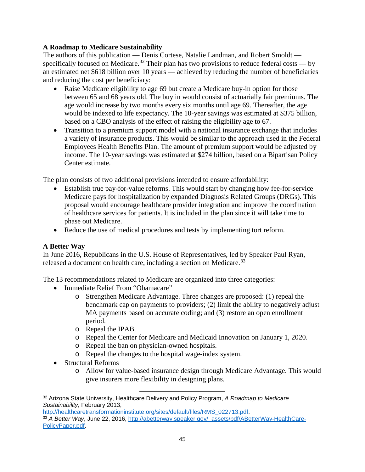## **A Roadmap to Medicare Sustainability**

The authors of this publication — Denis Cortese, Natalie Landman, and Robert Smoldt — specifically focused on Medicare.<sup>[32](#page-46-0)</sup> Their plan has two provisions to reduce federal costs — by an estimated net \$618 billion over 10 years — achieved by reducing the number of beneficiaries and reducing the cost per beneficiary:

- Raise Medicare eligibility to age 69 but create a Medicare buy-in option for those between 65 and 68 years old. The buy in would consist of actuarially fair premiums. The age would increase by two months every six months until age 69. Thereafter, the age would be indexed to life expectancy. The 10-year savings was estimated at \$375 billion, based on a CBO analysis of the effect of raising the eligibility age to 67.
- Transition to a premium support model with a national insurance exchange that includes a variety of insurance products. This would be similar to the approach used in the Federal Employees Health Benefits Plan. The amount of premium support would be adjusted by income. The 10-year savings was estimated at \$274 billion, based on a Bipartisan Policy Center estimate.

The plan consists of two additional provisions intended to ensure affordability:

- Establish true pay-for-value reforms. This would start by changing how fee-for-service Medicare pays for hospitalization by expanded Diagnosis Related Groups (DRGs). This proposal would encourage healthcare provider integration and improve the coordination of healthcare services for patients. It is included in the plan since it will take time to phase out Medicare.
- Reduce the use of medical procedures and tests by implementing tort reform.

#### **A Better Way**

In June 2016, Republicans in the U.S. House of Representatives, led by Speaker Paul Ryan, released a document on health care, including a section on Medicare.<sup>[33](#page-46-1)</sup>

The 13 recommendations related to Medicare are organized into three categories:

- Immediate Relief From "Obamacare"
	- o Strengthen Medicare Advantage. Three changes are proposed: (1) repeal the benchmark cap on payments to providers; (2) limit the ability to negatively adjust MA payments based on accurate coding; and (3) restore an open enrollment period.
	- o Repeal the IPAB.
	- o Repeal the Center for Medicare and Medicaid Innovation on January 1, 2020.
	- o Repeal the ban on physician-owned hospitals.

 $\overline{\phantom{a}}$ 

- o Repeal the changes to the hospital wage-index system.
- Structural Reforms
	- o Allow for value-based insurance design through Medicare Advantage. This would give insurers more flexibility in designing plans.

<span id="page-46-0"></span><sup>32</sup> Arizona State University, Healthcare Delivery and Policy Program, *A Roadmap to Medicare Sustainability*, February 2013,

<span id="page-46-1"></span>[http://healthcaretransformationinstitute.org/sites/default/files/RMS\\_022713.pdf.](http://healthcaretransformationinstitute.org/sites/default/files/RMS_022713.pdf) <sup>33</sup> A Better Way, June 22, 2016, [http://abetterway.speaker.gov/\\_assets/pdf/ABetterWay-HealthCare-](http://abetterway.speaker.gov/_assets/pdf/ABetterWay-HealthCare-PolicyPaper.pdf)[PolicyPaper.pdf.](http://abetterway.speaker.gov/_assets/pdf/ABetterWay-HealthCare-PolicyPaper.pdf)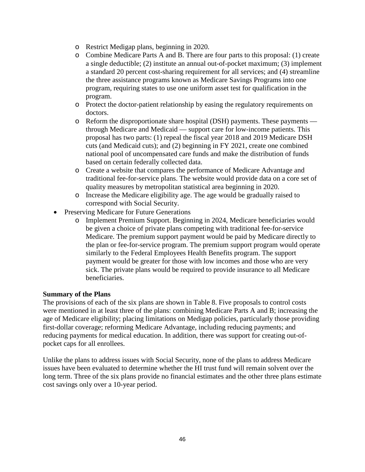- o Restrict Medigap plans, beginning in 2020.
- o Combine Medicare Parts A and B. There are four parts to this proposal: (1) create a single deductible; (2) institute an annual out-of-pocket maximum; (3) implement a standard 20 percent cost-sharing requirement for all services; and (4) streamline the three assistance programs known as Medicare Savings Programs into one program, requiring states to use one uniform asset test for qualification in the program.
- o Protect the doctor-patient relationship by easing the regulatory requirements on doctors.
- o Reform the disproportionate share hospital (DSH) payments. These payments through Medicare and Medicaid — support care for low-income patients. This proposal has two parts: (1) repeal the fiscal year 2018 and 2019 Medicare DSH cuts (and Medicaid cuts); and (2) beginning in FY 2021, create one combined national pool of uncompensated care funds and make the distribution of funds based on certain federally collected data.
- o Create a website that compares the performance of Medicare Advantage and traditional fee-for-service plans. The website would provide data on a core set of quality measures by metropolitan statistical area beginning in 2020.
- o Increase the Medicare eligibility age. The age would be gradually raised to correspond with Social Security.
- Preserving Medicare for Future Generations
	- o Implement Premium Support. Beginning in 2024, Medicare beneficiaries would be given a choice of private plans competing with traditional fee-for-service Medicare. The premium support payment would be paid by Medicare directly to the plan or fee-for-service program. The premium support program would operate similarly to the Federal Employees Health Benefits program. The support payment would be greater for those with low incomes and those who are very sick. The private plans would be required to provide insurance to all Medicare beneficiaries.

#### **Summary of the Plans**

The provisions of each of the six plans are shown in Table 8. Five proposals to control costs were mentioned in at least three of the plans: combining Medicare Parts A and B; increasing the age of Medicare eligibility; placing limitations on Medigap policies, particularly those providing first-dollar coverage; reforming Medicare Advantage, including reducing payments; and reducing payments for medical education. In addition, there was support for creating out-ofpocket caps for all enrollees.

Unlike the plans to address issues with Social Security, none of the plans to address Medicare issues have been evaluated to determine whether the HI trust fund will remain solvent over the long term. Three of the six plans provide no financial estimates and the other three plans estimate cost savings only over a 10-year period.